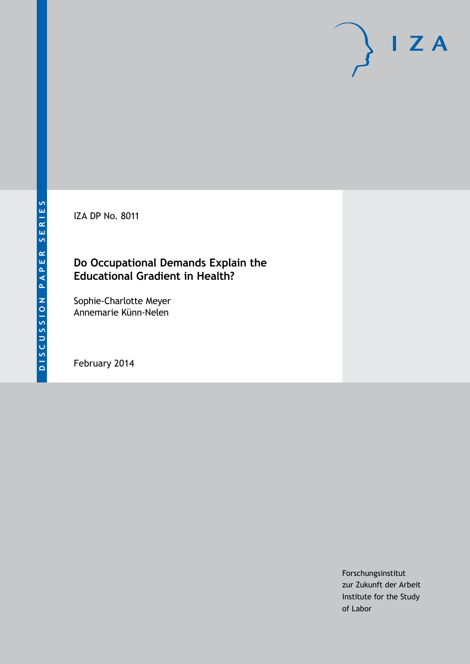IZA DP No. 8011

## **Do Occupational Demands Explain the Educational Gradient in Health?**

Sophie-Charlotte Meyer Annemarie Künn-Nelen

February 2014

Forschungsinstitut zur Zukunft der Arbeit Institute for the Study of Labor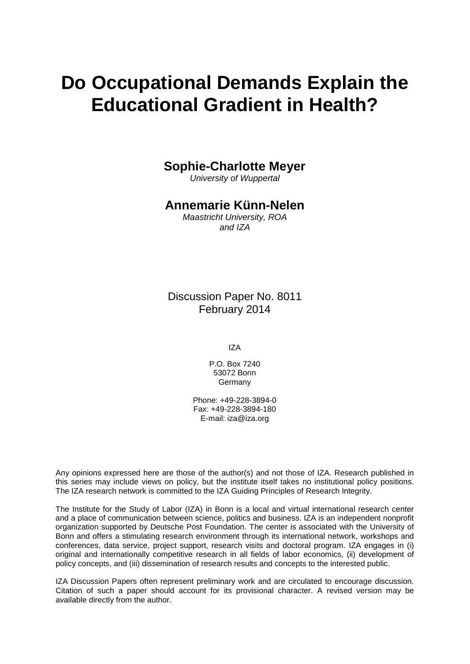# **Do Occupational Demands Explain the Educational Gradient in Health?**

### **Sophie-Charlotte Meyer**

*University of Wuppertal*

### **Annemarie Künn-Nelen**

*Maastricht University, ROA and IZA*

Discussion Paper No. 8011 February 2014

IZA

P.O. Box 7240 53072 Bonn Germany

Phone: +49-228-3894-0 Fax: +49-228-3894-180 E-mail: [iza@iza.org](mailto:iza@iza.org)

Any opinions expressed here are those of the author(s) and not those of IZA. Research published in this series may include views on policy, but the institute itself takes no institutional policy positions. The IZA research network is committed to the IZA Guiding Principles of Research Integrity.

The Institute for the Study of Labor (IZA) in Bonn is a local and virtual international research center and a place of communication between science, politics and business. IZA is an independent nonprofit organization supported by Deutsche Post Foundation. The center is associated with the University of Bonn and offers a stimulating research environment through its international network, workshops and conferences, data service, project support, research visits and doctoral program. IZA engages in (i) original and internationally competitive research in all fields of labor economics, (ii) development of policy concepts, and (iii) dissemination of research results and concepts to the interested public.

<span id="page-1-0"></span>IZA Discussion Papers often represent preliminary work and are circulated to encourage discussion. Citation of such a paper should account for its provisional character. A revised version may be available directly from the author.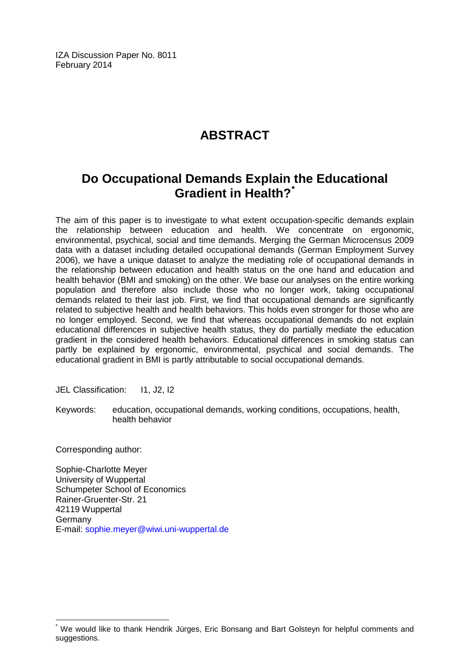IZA Discussion Paper No. 8011 February 2014

# **ABSTRACT**

# **Do Occupational Demands Explain the Educational Gradient in Health?[\\*](#page-1-0)**

The aim of this paper is to investigate to what extent occupation-specific demands explain the relationship between education and health. We concentrate on ergonomic, environmental, psychical, social and time demands. Merging the German Microcensus 2009 data with a dataset including detailed occupational demands (German Employment Survey 2006), we have a unique dataset to analyze the mediating role of occupational demands in the relationship between education and health status on the one hand and education and health behavior (BMI and smoking) on the other. We base our analyses on the entire working population and therefore also include those who no longer work, taking occupational demands related to their last job. First, we find that occupational demands are significantly related to subjective health and health behaviors. This holds even stronger for those who are no longer employed. Second, we find that whereas occupational demands do not explain educational differences in subjective health status, they do partially mediate the education gradient in the considered health behaviors. Educational differences in smoking status can partly be explained by ergonomic, environmental, psychical and social demands. The educational gradient in BMI is partly attributable to social occupational demands.

JEL Classification: 11, J2, I2

Keywords: education, occupational demands, working conditions, occupations, health, health behavior

Corresponding author:

Sophie-Charlotte Meyer University of Wuppertal Schumpeter School of Economics Rainer-Gruenter-Str. 21 42119 Wuppertal **Germany** E-mail: [sophie.meyer@wiwi.uni-wuppertal.de](mailto:sophie.meyer@wiwi.uni-wuppertal.de)

We would like to thank Hendrik Jürges, Eric Bonsang and Bart Golsteyn for helpful comments and suggestions.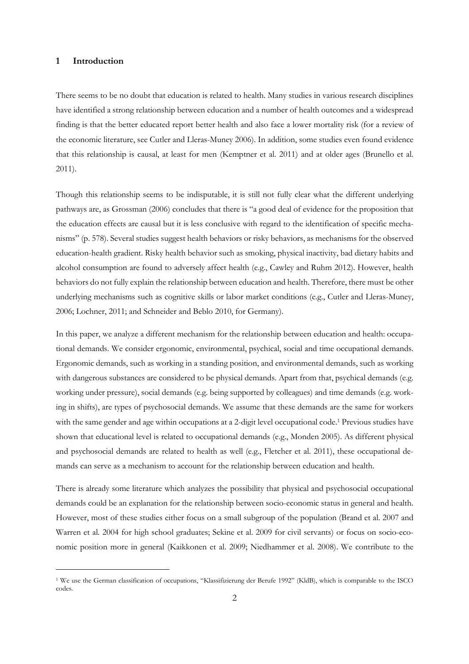#### **1 Introduction**

 $\overline{a}$ 

There seems to be no doubt that education is related to health. Many studies in various research disciplines have identified a strong relationship between education and a number of health outcomes and a widespread finding is that the better educated report better health and also face a lower mortality risk (for a review of the economic literature, see Cutler and Lleras-Muney 2006). In addition, some studies even found evidence that this relationship is causal, at least for men (Kemptner et al. 2011) and at older ages (Brunello et al. 2011).

Though this relationship seems to be indisputable, it is still not fully clear what the different underlying pathways are, as Grossman (2006) concludes that there is "a good deal of evidence for the proposition that the education effects are causal but it is less conclusive with regard to the identification of specific mechanisms" (p. 578). Several studies suggest health behaviors or risky behaviors, as mechanisms for the observed education-health gradient. Risky health behavior such as smoking, physical inactivity, bad dietary habits and alcohol consumption are found to adversely affect health (e.g., Cawley and Ruhm 2012). However, health behaviors do not fully explain the relationship between education and health. Therefore, there must be other underlying mechanisms such as cognitive skills or labor market conditions (e.g., Cutler and Lleras-Muney, 2006; Lochner, 2011; and Schneider and Beblo 2010, for Germany).

In this paper, we analyze a different mechanism for the relationship between education and health: occupational demands. We consider ergonomic, environmental, psychical, social and time occupational demands. Ergonomic demands, such as working in a standing position, and environmental demands, such as working with dangerous substances are considered to be physical demands. Apart from that, psychical demands (e.g. working under pressure), social demands (e.g. being supported by colleagues) and time demands (e.g. working in shifts), are types of psychosocial demands. We assume that these demands are the same for workers with the same gender and age within occupations at a 2-digit level occupational code.<sup>1</sup> Previous studies have shown that educational level is related to occupational demands (e.g., Monden 2005). As different physical and psychosocial demands are related to health as well (e.g., Fletcher et al. 2011), these occupational demands can serve as a mechanism to account for the relationship between education and health.

There is already some literature which analyzes the possibility that physical and psychosocial occupational demands could be an explanation for the relationship between socio-economic status in general and health. However, most of these studies either focus on a small subgroup of the population (Brand et al. 2007 and Warren et al. 2004 for high school graduates; Sekine et al. 2009 for civil servants) or focus on socio-economic position more in general (Kaikkonen et al. 2009; Niedhammer et al. 2008). We contribute to the

<sup>1</sup> We use the German classification of occupations, "Klassifizierung der Berufe 1992" (KldB), which is comparable to the ISCO codes.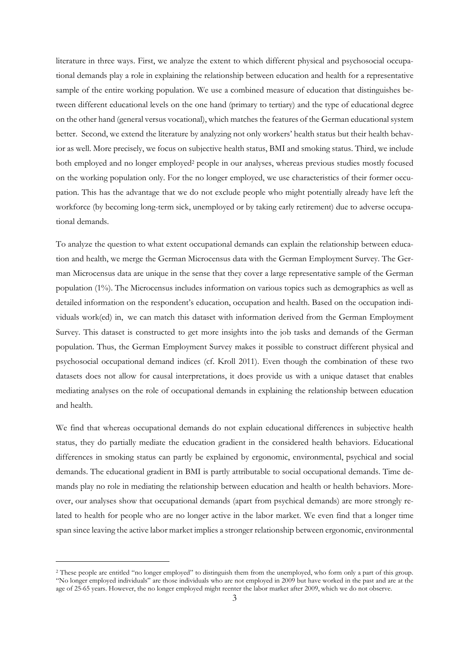literature in three ways. First, we analyze the extent to which different physical and psychosocial occupational demands play a role in explaining the relationship between education and health for a representative sample of the entire working population. We use a combined measure of education that distinguishes between different educational levels on the one hand (primary to tertiary) and the type of educational degree on the other hand (general versus vocational), which matches the features of the German educational system better. Second, we extend the literature by analyzing not only workers' health status but their health behavior as well. More precisely, we focus on subjective health status, BMI and smoking status. Third, we include both employed and no longer employed<sup>2</sup> people in our analyses, whereas previous studies mostly focused on the working population only. For the no longer employed, we use characteristics of their former occupation. This has the advantage that we do not exclude people who might potentially already have left the workforce (by becoming long-term sick, unemployed or by taking early retirement) due to adverse occupational demands.

To analyze the question to what extent occupational demands can explain the relationship between education and health, we merge the German Microcensus data with the German Employment Survey. The German Microcensus data are unique in the sense that they cover a large representative sample of the German population (1%). The Microcensus includes information on various topics such as demographics as well as detailed information on the respondent's education, occupation and health. Based on the occupation individuals work(ed) in, we can match this dataset with information derived from the German Employment Survey. This dataset is constructed to get more insights into the job tasks and demands of the German population. Thus, the German Employment Survey makes it possible to construct different physical and psychosocial occupational demand indices (cf. Kroll 2011). Even though the combination of these two datasets does not allow for causal interpretations, it does provide us with a unique dataset that enables mediating analyses on the role of occupational demands in explaining the relationship between education and health.

We find that whereas occupational demands do not explain educational differences in subjective health status, they do partially mediate the education gradient in the considered health behaviors. Educational differences in smoking status can partly be explained by ergonomic, environmental, psychical and social demands. The educational gradient in BMI is partly attributable to social occupational demands. Time demands play no role in mediating the relationship between education and health or health behaviors. Moreover, our analyses show that occupational demands (apart from psychical demands) are more strongly related to health for people who are no longer active in the labor market. We even find that a longer time span since leaving the active labor market implies a stronger relationship between ergonomic, environmental

 $\overline{a}$ 

<sup>2</sup> These people are entitled "no longer employed" to distinguish them from the unemployed, who form only a part of this group. "No longer employed individuals" are those individuals who are not employed in 2009 but have worked in the past and are at the age of 25-65 years. However, the no longer employed might reenter the labor market after 2009, which we do not observe.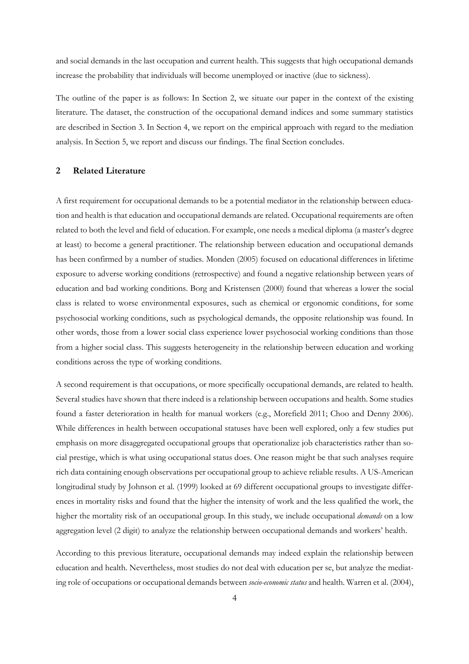and social demands in the last occupation and current health. This suggests that high occupational demands increase the probability that individuals will become unemployed or inactive (due to sickness).

The outline of the paper is as follows: In Section 2, we situate our paper in the context of the existing literature. The dataset, the construction of the occupational demand indices and some summary statistics are described in Section 3. In Section 4, we report on the empirical approach with regard to the mediation analysis. In Section 5, we report and discuss our findings. The final Section concludes.

#### **2 Related Literature**

A first requirement for occupational demands to be a potential mediator in the relationship between education and health is that education and occupational demands are related. Occupational requirements are often related to both the level and field of education. For example, one needs a medical diploma (a master's degree at least) to become a general practitioner. The relationship between education and occupational demands has been confirmed by a number of studies. Monden (2005) focused on educational differences in lifetime exposure to adverse working conditions (retrospective) and found a negative relationship between years of education and bad working conditions. Borg and Kristensen (2000) found that whereas a lower the social class is related to worse environmental exposures, such as chemical or ergonomic conditions, for some psychosocial working conditions, such as psychological demands, the opposite relationship was found. In other words, those from a lower social class experience lower psychosocial working conditions than those from a higher social class. This suggests heterogeneity in the relationship between education and working conditions across the type of working conditions.

A second requirement is that occupations, or more specifically occupational demands, are related to health. Several studies have shown that there indeed is a relationship between occupations and health. Some studies found a faster deterioration in health for manual workers (e.g., Morefield 2011; Choo and Denny 2006). While differences in health between occupational statuses have been well explored, only a few studies put emphasis on more disaggregated occupational groups that operationalize job characteristics rather than social prestige, which is what using occupational status does. One reason might be that such analyses require rich data containing enough observations per occupational group to achieve reliable results. A US-American longitudinal study by Johnson et al. (1999) looked at 69 different occupational groups to investigate differences in mortality risks and found that the higher the intensity of work and the less qualified the work, the higher the mortality risk of an occupational group. In this study, we include occupational *demands* on a low aggregation level (2 digit) to analyze the relationship between occupational demands and workers' health.

According to this previous literature, occupational demands may indeed explain the relationship between education and health. Nevertheless, most studies do not deal with education per se, but analyze the mediating role of occupations or occupational demands between *socio-economic status* and health. Warren et al. (2004),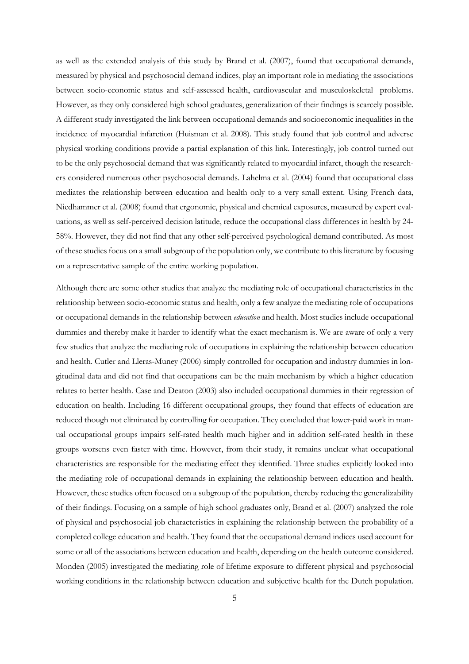as well as the extended analysis of this study by Brand et al. (2007), found that occupational demands, measured by physical and psychosocial demand indices, play an important role in mediating the associations between socio-economic status and self-assessed health, cardiovascular and musculoskeletal problems. However, as they only considered high school graduates, generalization of their findings is scarcely possible. A different study investigated the link between occupational demands and socioeconomic inequalities in the incidence of myocardial infarction (Huisman et al. 2008). This study found that job control and adverse physical working conditions provide a partial explanation of this link. Interestingly, job control turned out to be the only psychosocial demand that was significantly related to myocardial infarct, though the researchers considered numerous other psychosocial demands. Lahelma et al. (2004) found that occupational class mediates the relationship between education and health only to a very small extent. Using French data, Niedhammer et al. (2008) found that ergonomic, physical and chemical exposures, measured by expert evaluations, as well as self-perceived decision latitude, reduce the occupational class differences in health by 24- 58%. However, they did not find that any other self-perceived psychological demand contributed. As most of these studies focus on a small subgroup of the population only, we contribute to this literature by focusing on a representative sample of the entire working population.

Although there are some other studies that analyze the mediating role of occupational characteristics in the relationship between socio-economic status and health, only a few analyze the mediating role of occupations or occupational demands in the relationship between *education* and health. Most studies include occupational dummies and thereby make it harder to identify what the exact mechanism is. We are aware of only a very few studies that analyze the mediating role of occupations in explaining the relationship between education and health. Cutler and Lleras-Muney (2006) simply controlled for occupation and industry dummies in longitudinal data and did not find that occupations can be the main mechanism by which a higher education relates to better health. Case and Deaton (2003) also included occupational dummies in their regression of education on health. Including 16 different occupational groups, they found that effects of education are reduced though not eliminated by controlling for occupation. They concluded that lower-paid work in manual occupational groups impairs self-rated health much higher and in addition self-rated health in these groups worsens even faster with time. However, from their study, it remains unclear what occupational characteristics are responsible for the mediating effect they identified. Three studies explicitly looked into the mediating role of occupational demands in explaining the relationship between education and health. However, these studies often focused on a subgroup of the population, thereby reducing the generalizability of their findings. Focusing on a sample of high school graduates only, Brand et al. (2007) analyzed the role of physical and psychosocial job characteristics in explaining the relationship between the probability of a completed college education and health. They found that the occupational demand indices used account for some or all of the associations between education and health, depending on the health outcome considered. Monden (2005) investigated the mediating role of lifetime exposure to different physical and psychosocial working conditions in the relationship between education and subjective health for the Dutch population.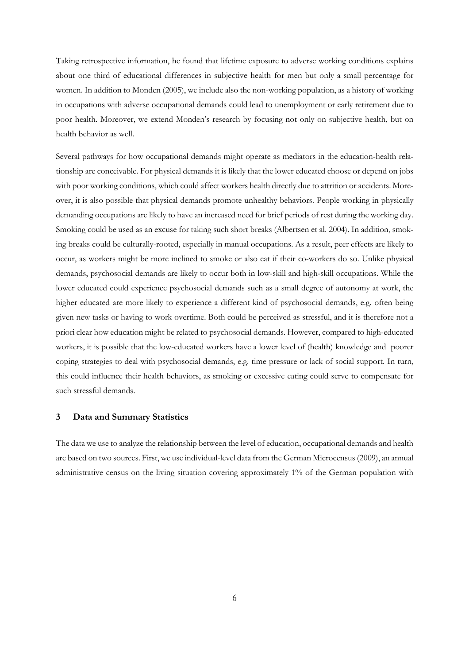Taking retrospective information, he found that lifetime exposure to adverse working conditions explains about one third of educational differences in subjective health for men but only a small percentage for women. In addition to Monden (2005), we include also the non-working population, as a history of working in occupations with adverse occupational demands could lead to unemployment or early retirement due to poor health. Moreover, we extend Monden's research by focusing not only on subjective health, but on health behavior as well.

Several pathways for how occupational demands might operate as mediators in the education-health relationship are conceivable. For physical demands it is likely that the lower educated choose or depend on jobs with poor working conditions, which could affect workers health directly due to attrition or accidents. Moreover, it is also possible that physical demands promote unhealthy behaviors. People working in physically demanding occupations are likely to have an increased need for brief periods of rest during the working day. Smoking could be used as an excuse for taking such short breaks (Albertsen et al. 2004). In addition, smoking breaks could be culturally-rooted, especially in manual occupations. As a result, peer effects are likely to occur, as workers might be more inclined to smoke or also eat if their co-workers do so. Unlike physical demands, psychosocial demands are likely to occur both in low-skill and high-skill occupations. While the lower educated could experience psychosocial demands such as a small degree of autonomy at work, the higher educated are more likely to experience a different kind of psychosocial demands, e.g. often being given new tasks or having to work overtime. Both could be perceived as stressful, and it is therefore not a priori clear how education might be related to psychosocial demands. However, compared to high-educated workers, it is possible that the low-educated workers have a lower level of (health) knowledge and poorer coping strategies to deal with psychosocial demands, e.g. time pressure or lack of social support. In turn, this could influence their health behaviors, as smoking or excessive eating could serve to compensate for such stressful demands.

#### **3 Data and Summary Statistics**

The data we use to analyze the relationship between the level of education, occupational demands and health are based on two sources. First, we use individual-level data from the German Microcensus (2009), an annual administrative census on the living situation covering approximately 1% of the German population with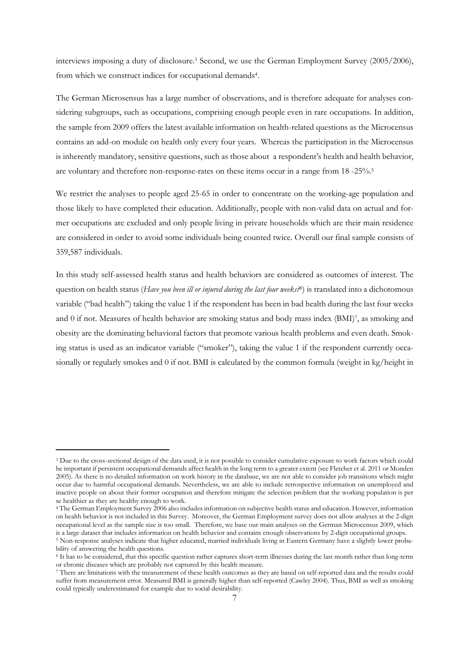interviews imposing a duty of disclosure.<sup>3</sup> Second, we use the German Employment Survey (2005/2006), from which we construct indices for occupational demands<sup>4</sup>.

The German Microsensus has a large number of observations, and is therefore adequate for analyses considering subgroups, such as occupations, comprising enough people even in rare occupations. In addition, the sample from 2009 offers the latest available information on health-related questions as the Microcensus contains an add-on module on health only every four years. Whereas the participation in the Microcensus is inherently mandatory, sensitive questions, such as those about a respondent's health and health behavior, are voluntary and therefore non-response-rates on these items occur in a range from 18 -25%.<sup>5</sup>

We restrict the analyses to people aged 25-65 in order to concentrate on the working-age population and those likely to have completed their education. Additionally, people with non-valid data on actual and former occupations are excluded and only people living in private households which are their main residence are considered in order to avoid some individuals being counted twice. Overall our final sample consists of 359,587 individuals.

In this study self-assessed health status and health behaviors are considered as outcomes of interest. The question on health status (*Have you been ill or injured during the last four weeks?<sup>6</sup>* ) is translated into a dichotomous variable ("bad health") taking the value 1 if the respondent has been in bad health during the last four weeks and 0 if not. Measures of health behavior are smoking status and body mass index (BMI)<sup>7</sup> , as smoking and obesity are the dominating behavioral factors that promote various health problems and even death. Smoking status is used as an indicator variable ("smoker"), taking the value 1 if the respondent currently occasionally or regularly smokes and 0 if not. BMI is calculated by the common formula (weight in kg/height in

 $\overline{a}$ 

<sup>3</sup> Due to the cross-sectional design of the data used, it is not possible to consider cumulative exposure to work factors which could be important if persistent occupational demands affect health in the long term to a greater extent (see Fletcher et al. 2011 or Monden 2005). As there is no detailed information on work history in the database, we are not able to consider job transitions which might occur due to harmful occupational demands. Nevertheless, we are able to include retrospective information on unemployed and inactive people on about their former occupation and therefore mitigate the selection problem that the working population is per se healthier as they are healthy enough to work.

<sup>4</sup> The German Employment Survey 2006 also includes information on subjective health status and education. However, information on health behavior is not included in this Survey. Moreover, the German Employment survey does not allow analyses at the 2-digit occupational level as the sample size is too small. Therefore, we base our main analyses on the German Microcensus 2009, which is a large dataset that includes information on health behavior and contains enough observations by 2-digit occupational groups.

<sup>5</sup> Non-response analyses indicate that higher educated, married individuals living in Eastern Germany have a slightly lower probability of answering the health questions.

<sup>6</sup> It has to be considered, that this specific question rather captures short-term illnesses during the last month rather than long-term or chronic diseases which are probably not captured by this health measure.

<sup>7</sup> There are limitations with the measurement of these health outcomes as they are based on self-reported data and the results could suffer from measurement error. Measured BMI is generally higher than self-reported (Cawley 2004). Thus, BMI as well as smoking could typically underestimated for example due to social desirability.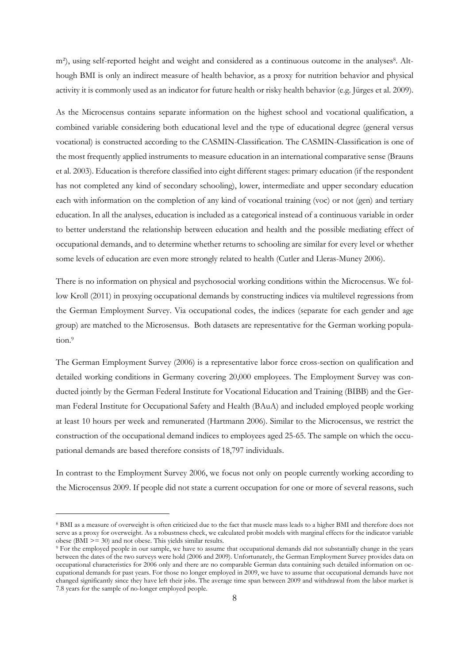m<sup>2</sup>), using self-reported height and weight and considered as a continuous outcome in the analyses<sup>8</sup>. Although BMI is only an indirect measure of health behavior, as a proxy for nutrition behavior and physical activity it is commonly used as an indicator for future health or risky health behavior (e.g. Jürges et al. 2009).

As the Microcensus contains separate information on the highest school and vocational qualification, a combined variable considering both educational level and the type of educational degree (general versus vocational) is constructed according to the CASMIN-Classification. The CASMIN-Classification is one of the most frequently applied instruments to measure education in an international comparative sense (Brauns et al. 2003). Education is therefore classified into eight different stages: primary education (if the respondent has not completed any kind of secondary schooling), lower, intermediate and upper secondary education each with information on the completion of any kind of vocational training (voc) or not (gen) and tertiary education. In all the analyses, education is included as a categorical instead of a continuous variable in order to better understand the relationship between education and health and the possible mediating effect of occupational demands, and to determine whether returns to schooling are similar for every level or whether some levels of education are even more strongly related to health (Cutler and Lleras-Muney 2006).

There is no information on physical and psychosocial working conditions within the Microcensus. We follow Kroll (2011) in proxying occupational demands by constructing indices via multilevel regressions from the German Employment Survey. Via occupational codes, the indices (separate for each gender and age group) are matched to the Microsensus. Both datasets are representative for the German working population.<sup>9</sup>

The German Employment Survey (2006) is a representative labor force cross-section on qualification and detailed working conditions in Germany covering 20,000 employees. The Employment Survey was conducted jointly by the German Federal Institute for Vocational Education and Training (BIBB) and the German Federal Institute for Occupational Safety and Health (BAuA) and included employed people working at least 10 hours per week and remunerated (Hartmann 2006). Similar to the Microcensus, we restrict the construction of the occupational demand indices to employees aged 25-65. The sample on which the occupational demands are based therefore consists of 18,797 individuals.

In contrast to the Employment Survey 2006, we focus not only on people currently working according to the Microcensus 2009. If people did not state a current occupation for one or more of several reasons, such

 $\overline{a}$ 

<sup>8</sup> BMI as a measure of overweight is often criticized due to the fact that muscle mass leads to a higher BMI and therefore does not serve as a proxy for overweight. As a robustness check, we calculated probit models with marginal effects for the indicator variable obese (BMI  $\ge$  = 30) and not obese. This yields similar results.

<sup>9</sup> For the employed people in our sample, we have to assume that occupational demands did not substantially change in the years between the dates of the two surveys were hold (2006 and 2009). Unfortunately, the German Employment Survey provides data on occupational characteristics for 2006 only and there are no comparable German data containing such detailed information on occupational demands for past years. For those no longer employed in 2009, we have to assume that occupational demands have not changed significantly since they have left their jobs. The average time span between 2009 and withdrawal from the labor market is 7.8 years for the sample of no-longer employed people.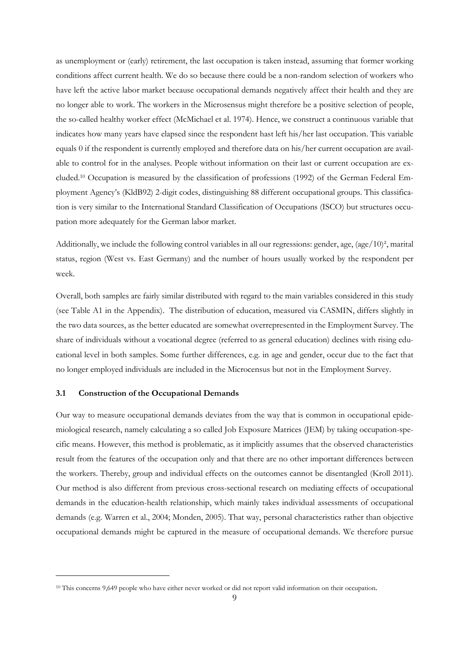as unemployment or (early) retirement, the last occupation is taken instead, assuming that former working conditions affect current health. We do so because there could be a non-random selection of workers who have left the active labor market because occupational demands negatively affect their health and they are no longer able to work. The workers in the Microsensus might therefore be a positive selection of people, the so-called healthy worker effect (McMichael et al. 1974). Hence, we construct a continuous variable that indicates how many years have elapsed since the respondent hast left his/her last occupation. This variable equals 0 if the respondent is currently employed and therefore data on his/her current occupation are available to control for in the analyses. People without information on their last or current occupation are excluded.10 Occupation is measured by the classification of professions (1992) of the German Federal Employment Agency's (KldB92) 2-digit codes, distinguishing 88 different occupational groups. This classification is very similar to the International Standard Classification of Occupations (ISCO) but structures occupation more adequately for the German labor market.

Additionally, we include the following control variables in all our regressions: gender, age,  $(age/10)^2$ , marital status, region (West vs. East Germany) and the number of hours usually worked by the respondent per week.

Overall, both samples are fairly similar distributed with regard to the main variables considered in this study (see Table A1 in the Appendix). The distribution of education, measured via CASMIN, differs slightly in the two data sources, as the better educated are somewhat overrepresented in the Employment Survey. The share of individuals without a vocational degree (referred to as general education) declines with rising educational level in both samples. Some further differences, e.g. in age and gender, occur due to the fact that no longer employed individuals are included in the Microcensus but not in the Employment Survey.

#### **3.1 Construction of the Occupational Demands**

 $\overline{a}$ 

Our way to measure occupational demands deviates from the way that is common in occupational epidemiological research, namely calculating a so called Job Exposure Matrices (JEM) by taking occupation-specific means. However, this method is problematic, as it implicitly assumes that the observed characteristics result from the features of the occupation only and that there are no other important differences between the workers. Thereby, group and individual effects on the outcomes cannot be disentangled (Kroll 2011). Our method is also different from previous cross-sectional research on mediating effects of occupational demands in the education-health relationship, which mainly takes individual assessments of occupational demands (e.g. Warren et al., 2004; Monden, 2005). That way, personal characteristics rather than objective occupational demands might be captured in the measure of occupational demands. We therefore pursue

<sup>&</sup>lt;sup>10</sup> This concerns 9,649 people who have either never worked or did not report valid information on their occupation.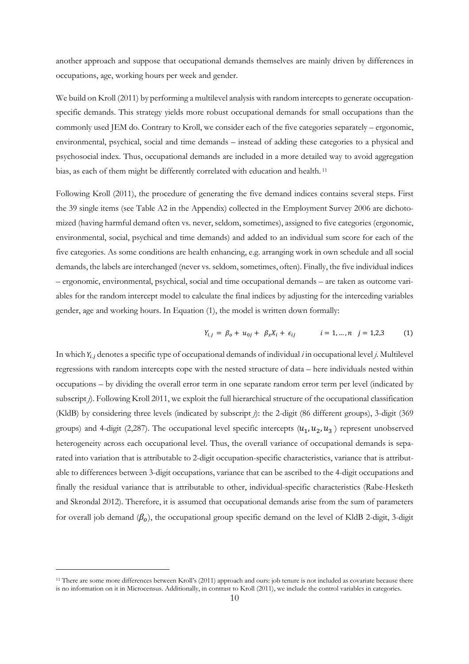another approach and suppose that occupational demands themselves are mainly driven by differences in occupations, age, working hours per week and gender.

We build on Kroll (2011) by performing a multilevel analysis with random intercepts to generate occupationspecific demands. This strategy yields more robust occupational demands for small occupations than the commonly used JEM do. Contrary to Kroll, we consider each of the five categories separately – ergonomic, environmental, psychical, social and time demands – instead of adding these categories to a physical and psychosocial index. Thus, occupational demands are included in a more detailed way to avoid aggregation bias, as each of them might be differently correlated with education and health.<sup>11</sup>

Following Kroll (2011), the procedure of generating the five demand indices contains several steps. First the 39 single items (see Table A2 in the Appendix) collected in the Employment Survey 2006 are dichotomized (having harmful demand often vs. never, seldom, sometimes), assigned to five categories (ergonomic, environmental, social, psychical and time demands) and added to an individual sum score for each of the five categories. As some conditions are health enhancing, e.g. arranging work in own schedule and all social demands, the labels are interchanged (never vs. seldom, sometimes, often). Finally, the five individual indices – ergonomic, environmental, psychical, social and time occupational demands – are taken as outcome variables for the random intercept model to calculate the final indices by adjusting for the interceding variables gender, age and working hours. In Equation (1), the model is written down formally:

$$
Y_{i,j} = \beta_o + u_{0j} + \beta_x X_i + \epsilon_{ij} \qquad i = 1, ..., n \quad j = 1, 2, 3 \qquad (1)
$$

In which  $Y_{i,j}$  denotes a specific type of occupational demands of individual *i* in occupational level *j*. Multilevel regressions with random intercepts cope with the nested structure of data – here individuals nested within occupations – by dividing the overall error term in one separate random error term per level (indicated by subscript *j*). Following Kroll 2011, we exploit the full hierarchical structure of the occupational classification (KldB) by considering three levels (indicated by subscript *j*): the 2-digit (86 different groups), 3-digit (369 groups) and 4-digit (2,287). The occupational level specific intercepts  $(u_1, u_2, u_3)$  represent unobserved heterogeneity across each occupational level. Thus, the overall variance of occupational demands is separated into variation that is attributable to 2-digit occupation-specific characteristics, variance that is attributable to differences between 3-digit occupations, variance that can be ascribed to the 4-digit occupations and finally the residual variance that is attributable to other, individual-specific characteristics (Rabe-Hesketh and Skrondal 2012). Therefore, it is assumed that occupational demands arise from the sum of parameters for overall job demand  $(\beta_o)$ , the occupational group specific demand on the level of KldB 2-digit, 3-digit

 $\overline{a}$ 

<sup>11</sup> There are some more differences between Kroll's (2011) approach and ours: job tenure is not included as covariate because there is no information on it in Microcensus. Additionally, in contrast to Kroll (2011), we include the control variables in categories.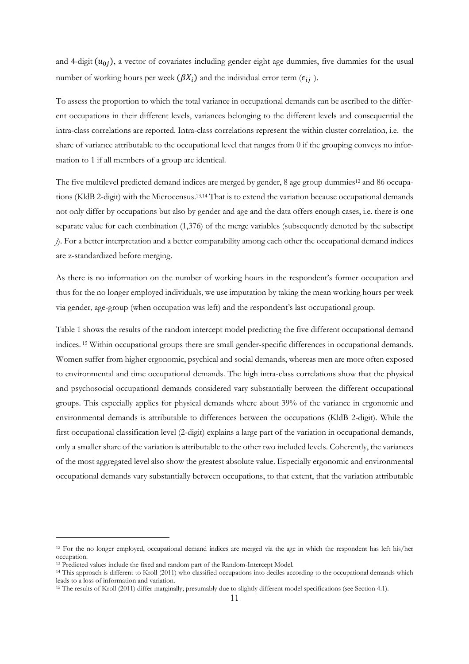and 4-digit  $(u_{0j})$ , a vector of covariates including gender eight age dummies, five dummies for the usual number of working hours per week  $(\beta X_i)$  and the individual error term  $(\epsilon_{ij})$ .

To assess the proportion to which the total variance in occupational demands can be ascribed to the different occupations in their different levels, variances belonging to the different levels and consequential the intra-class correlations are reported. Intra-class correlations represent the within cluster correlation, i.e. the share of variance attributable to the occupational level that ranges from 0 if the grouping conveys no information to 1 if all members of a group are identical.

The five multilevel predicted demand indices are merged by gender, 8 age group dummies<sup>12</sup> and 86 occupations (KldB 2-digit) with the Microcensus.13,14 That is to extend the variation because occupational demands not only differ by occupations but also by gender and age and the data offers enough cases, i.e. there is one separate value for each combination (1,376) of the merge variables (subsequently denoted by the subscript *j*). For a better interpretation and a better comparability among each other the occupational demand indices are z-standardized before merging.

As there is no information on the number of working hours in the respondent's former occupation and thus for the no longer employed individuals, we use imputation by taking the mean working hours per week via gender, age-group (when occupation was left) and the respondent's last occupational group.

Table 1 shows the results of the random intercept model predicting the five different occupational demand indices. 15 Within occupational groups there are small gender-specific differences in occupational demands. Women suffer from higher ergonomic, psychical and social demands, whereas men are more often exposed to environmental and time occupational demands. The high intra-class correlations show that the physical and psychosocial occupational demands considered vary substantially between the different occupational groups. This especially applies for physical demands where about 39% of the variance in ergonomic and environmental demands is attributable to differences between the occupations (KldB 2-digit). While the first occupational classification level (2-digit) explains a large part of the variation in occupational demands, only a smaller share of the variation is attributable to the other two included levels. Coherently, the variances of the most aggregated level also show the greatest absolute value. Especially ergonomic and environmental occupational demands vary substantially between occupations, to that extent, that the variation attributable

 $\overline{a}$ 

<sup>12</sup> For the no longer employed, occupational demand indices are merged via the age in which the respondent has left his/her occupation.

<sup>13</sup> Predicted values include the fixed and random part of the Random-Intercept Model.

<sup>14</sup> This approach is different to Kroll (2011) who classified occupations into deciles according to the occupational demands which leads to a loss of information and variation.

<sup>15</sup> The results of Kroll (2011) differ marginally; presumably due to slightly different model specifications (see Section 4.1).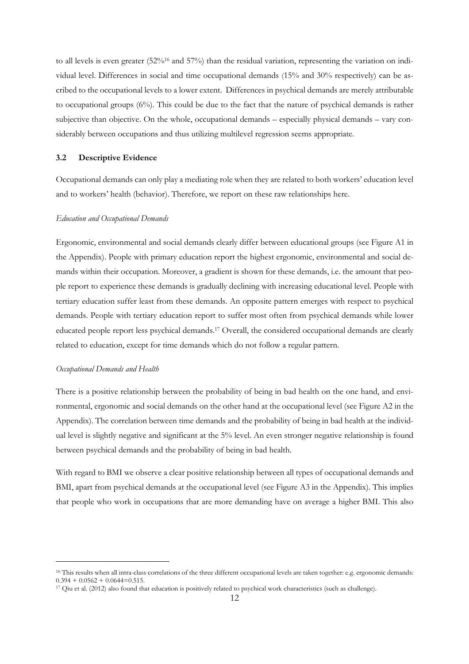to all levels is even greater (52%16 and 57%) than the residual variation, representing the variation on individual level. Differences in social and time occupational demands (15% and 30% respectively) can be ascribed to the occupational levels to a lower extent. Differences in psychical demands are merely attributable to occupational groups (6%). This could be due to the fact that the nature of psychical demands is rather subjective than objective. On the whole, occupational demands – especially physical demands – vary considerably between occupations and thus utilizing multilevel regression seems appropriate.

#### **3.2 Descriptive Evidence**

Occupational demands can only play a mediating role when they are related to both workers' education level and to workers' health (behavior). Therefore, we report on these raw relationships here.

#### *Education and Occupational Demands*

Ergonomic, environmental and social demands clearly differ between educational groups (see Figure A1 in the Appendix). People with primary education report the highest ergonomic, environmental and social demands within their occupation. Moreover, a gradient is shown for these demands, i.e. the amount that people report to experience these demands is gradually declining with increasing educational level. People with tertiary education suffer least from these demands. An opposite pattern emerges with respect to psychical demands. People with tertiary education report to suffer most often from psychical demands while lower educated people report less psychical demands.17 Overall, the considered occupational demands are clearly related to education, except for time demands which do not follow a regular pattern.

#### *Occupational Demands and Health*

 $\overline{a}$ 

There is a positive relationship between the probability of being in bad health on the one hand, and environmental, ergonomic and social demands on the other hand at the occupational level (see Figure A2 in the Appendix). The correlation between time demands and the probability of being in bad health at the individual level is slightly negative and significant at the 5% level. An even stronger negative relationship is found between psychical demands and the probability of being in bad health.

With regard to BMI we observe a clear positive relationship between all types of occupational demands and BMI, apart from psychical demands at the occupational level (see Figure A3 in the Appendix). This implies that people who work in occupations that are more demanding have on average a higher BMI. This also

<sup>&</sup>lt;sup>16</sup> This results when all intra-class correlations of the three different occupational levels are taken together: e.g. ergonomic demands:  $0.394 + 0.0562 + 0.0644 = 0.515$ .

<sup>17</sup> Qiu et al. (2012) also found that education is positively related to psychical work characteristics (such as challenge).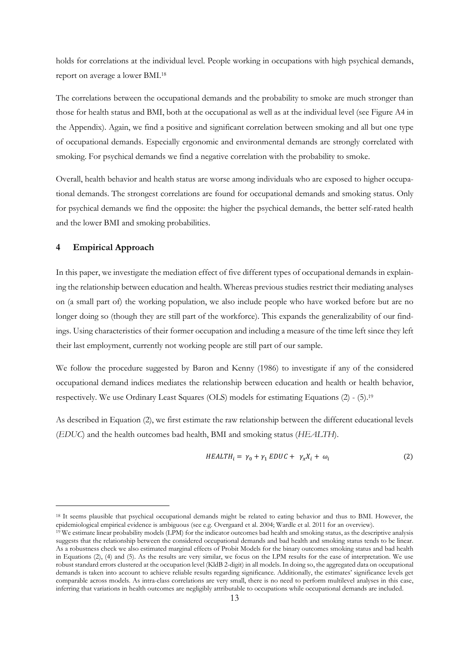holds for correlations at the individual level. People working in occupations with high psychical demands, report on average a lower BMI.<sup>18</sup>

The correlations between the occupational demands and the probability to smoke are much stronger than those for health status and BMI, both at the occupational as well as at the individual level (see Figure A4 in the Appendix). Again, we find a positive and significant correlation between smoking and all but one type of occupational demands. Especially ergonomic and environmental demands are strongly correlated with smoking. For psychical demands we find a negative correlation with the probability to smoke.

Overall, health behavior and health status are worse among individuals who are exposed to higher occupational demands. The strongest correlations are found for occupational demands and smoking status. Only for psychical demands we find the opposite: the higher the psychical demands, the better self-rated health and the lower BMI and smoking probabilities.

#### **4 Empirical Approach**

 $\overline{a}$ 

In this paper, we investigate the mediation effect of five different types of occupational demands in explaining the relationship between education and health. Whereas previous studies restrict their mediating analyses on (a small part of) the working population, we also include people who have worked before but are no longer doing so (though they are still part of the workforce). This expands the generalizability of our findings. Using characteristics of their former occupation and including a measure of the time left since they left their last employment, currently not working people are still part of our sample.

We follow the procedure suggested by Baron and Kenny (1986) to investigate if any of the considered occupational demand indices mediates the relationship between education and health or health behavior, respectively. We use Ordinary Least Squares (OLS) models for estimating Equations (2) - (5).<sup>19</sup>

As described in Equation (2), we first estimate the raw relationship between the different educational levels (*EDUC*) and the health outcomes bad health, BMI and smoking status (*HEALTH*).

$$
HEALTH_i = \gamma_0 + \gamma_1 EDUC + \gamma_x X_i + \omega_i \tag{2}
$$

<sup>&</sup>lt;sup>18</sup> It seems plausible that psychical occupational demands might be related to eating behavior and thus to BMI. However, the epidemiological empirical evidence is ambiguous (see e.g. Overgaard et al. 2004; Wardle et al. 2011 for an overview).

<sup>19</sup> We estimate linear probability models (LPM) for the indicator outcomes bad health and smoking status, as the descriptive analysis suggests that the relationship between the considered occupational demands and bad health and smoking status tends to be linear. As a robustness check we also estimated marginal effects of Probit Models for the binary outcomes smoking status and bad health in Equations (2), (4) and (5). As the results are very similar, we focus on the LPM results for the ease of interpretation. We use robust standard errors clustered at the occupation level (KldB 2-digit) in all models. In doing so, the aggregated data on occupational demands is taken into account to achieve reliable results regarding significance. Additionally, the estimates' significance levels get comparable across models. As intra-class correlations are very small, there is no need to perform multilevel analyses in this case, inferring that variations in health outcomes are negligibly attributable to occupations while occupational demands are included.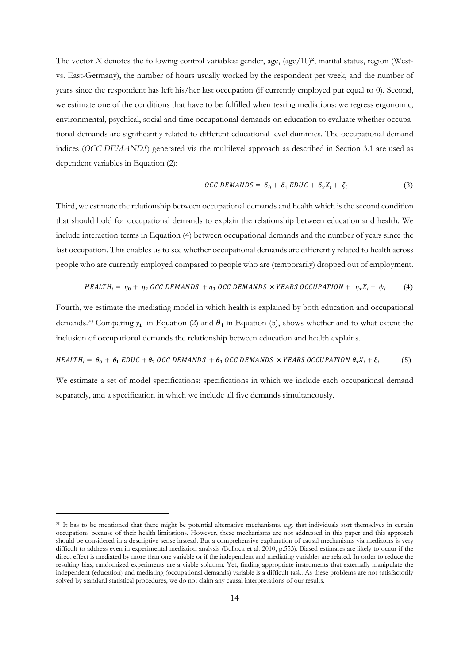The vector *X* denotes the following control variables: gender, age, (age/10)<sup>2</sup>, marital status, region (Westvs. East-Germany), the number of hours usually worked by the respondent per week, and the number of years since the respondent has left his/her last occupation (if currently employed put equal to 0). Second, we estimate one of the conditions that have to be fulfilled when testing mediations: we regress ergonomic, environmental, psychical, social and time occupational demands on education to evaluate whether occupational demands are significantly related to different educational level dummies. The occupational demand indices (*OCC DEMANDS*) generated via the multilevel approach as described in Section 3.1 are used as dependent variables in Equation (2):

$$
OCC DEMANDS = \delta_0 + \delta_1 EDUC + \delta_x X_i + \zeta_i \tag{3}
$$

Third, we estimate the relationship between occupational demands and health which is the second condition that should hold for occupational demands to explain the relationship between education and health. We include interaction terms in Equation (4) between occupational demands and the number of years since the last occupation. This enables us to see whether occupational demands are differently related to health across people who are currently employed compared to people who are (temporarily) dropped out of employment.

$$
HEALTH_i = \eta_0 + \eta_2 \text{ OCC DEMANDS } + \eta_3 \text{ OCC DEMANDS } \times YEARS \text{ OCCUPATION } + \eta_x X_i + \psi_i \tag{4}
$$

Fourth, we estimate the mediating model in which health is explained by both education and occupational demands.<sup>20</sup> Comparing  $y_1$  in Equation (2) and  $\theta_1$  in Equation (5), shows whether and to what extent the inclusion of occupational demands the relationship between education and health explains.

$$
HEALTH_i = \theta_0 + \theta_1 EDUC + \theta_2 OCC DEMANDS + \theta_3 OCC DEMANDS \times YEARS OCCUPATION \theta_x X_i + \xi_i
$$
 (5)

We estimate a set of model specifications: specifications in which we include each occupational demand separately, and a specification in which we include all five demands simultaneously.

 $\overline{a}$ 

<sup>20</sup> It has to be mentioned that there might be potential alternative mechanisms, e.g. that individuals sort themselves in certain occupations because of their health limitations. However, these mechanisms are not addressed in this paper and this approach should be considered in a descriptive sense instead. But a comprehensive explanation of causal mechanisms via mediators is very difficult to address even in experimental mediation analysis (Bullock et al. 2010, p.553). Biased estimates are likely to occur if the direct effect is mediated by more than one variable or if the independent and mediating variables are related. In order to reduce the resulting bias, randomized experiments are a viable solution. Yet, finding appropriate instruments that externally manipulate the independent (education) and mediating (occupational demands) variable is a difficult task. As these problems are not satisfactorily solved by standard statistical procedures, we do not claim any causal interpretations of our results.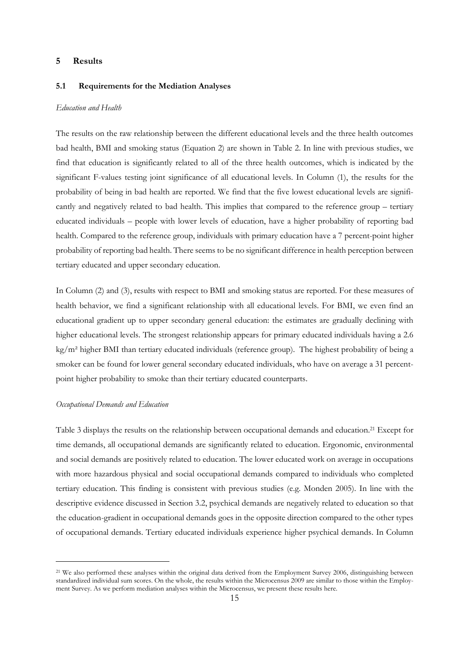#### **5 Results**

#### **5.1 Requirements for the Mediation Analyses**

#### *Education and Health*

The results on the raw relationship between the different educational levels and the three health outcomes bad health, BMI and smoking status (Equation 2) are shown in Table 2. In line with previous studies, we find that education is significantly related to all of the three health outcomes, which is indicated by the significant F-values testing joint significance of all educational levels. In Column (1), the results for the probability of being in bad health are reported. We find that the five lowest educational levels are significantly and negatively related to bad health. This implies that compared to the reference group – tertiary educated individuals – people with lower levels of education, have a higher probability of reporting bad health. Compared to the reference group, individuals with primary education have a 7 percent-point higher probability of reporting bad health. There seems to be no significant difference in health perception between tertiary educated and upper secondary education.

In Column (2) and (3), results with respect to BMI and smoking status are reported. For these measures of health behavior, we find a significant relationship with all educational levels. For BMI, we even find an educational gradient up to upper secondary general education: the estimates are gradually declining with higher educational levels. The strongest relationship appears for primary educated individuals having a 2.6 kg/m² higher BMI than tertiary educated individuals (reference group). The highest probability of being a smoker can be found for lower general secondary educated individuals, who have on average a 31 percentpoint higher probability to smoke than their tertiary educated counterparts.

#### *Occupational Demands and Education*

 $\overline{a}$ 

Table 3 displays the results on the relationship between occupational demands and education.21 Except for time demands, all occupational demands are significantly related to education. Ergonomic, environmental and social demands are positively related to education. The lower educated work on average in occupations with more hazardous physical and social occupational demands compared to individuals who completed tertiary education. This finding is consistent with previous studies (e.g. Monden 2005). In line with the descriptive evidence discussed in Section 3.2, psychical demands are negatively related to education so that the education-gradient in occupational demands goes in the opposite direction compared to the other types of occupational demands. Tertiary educated individuals experience higher psychical demands. In Column

<sup>&</sup>lt;sup>21</sup> We also performed these analyses within the original data derived from the Employment Survey 2006, distinguishing between standardized individual sum scores. On the whole, the results within the Microcensus 2009 are similar to those within the Employment Survey. As we perform mediation analyses within the Microcensus, we present these results here.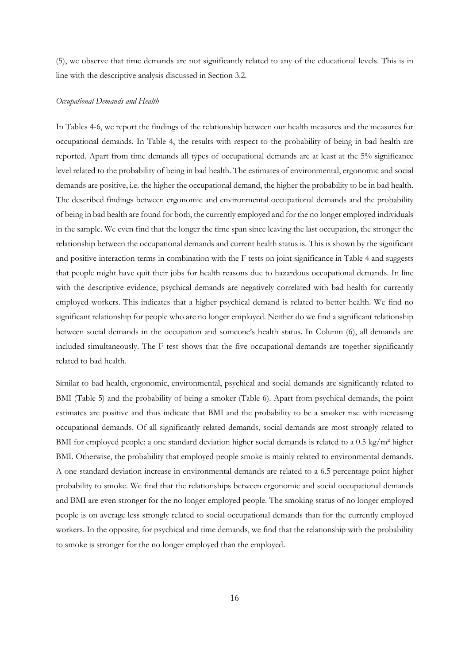(5), we observe that time demands are not significantly related to any of the educational levels. This is in line with the descriptive analysis discussed in Section 3.2.

#### *Occupational Demands and Health*

In Tables 4-6, we report the findings of the relationship between our health measures and the measures for occupational demands. In Table 4, the results with respect to the probability of being in bad health are reported. Apart from time demands all types of occupational demands are at least at the 5% significance level related to the probability of being in bad health. The estimates of environmental, ergonomic and social demands are positive, i.e. the higher the occupational demand, the higher the probability to be in bad health. The described findings between ergonomic and environmental occupational demands and the probability of being in bad health are found for both, the currently employed and for the no longer employed individuals in the sample. We even find that the longer the time span since leaving the last occupation, the stronger the relationship between the occupational demands and current health status is. This is shown by the significant and positive interaction terms in combination with the F tests on joint significance in Table 4 and suggests that people might have quit their jobs for health reasons due to hazardous occupational demands. In line with the descriptive evidence, psychical demands are negatively correlated with bad health for currently employed workers. This indicates that a higher psychical demand is related to better health. We find no significant relationship for people who are no longer employed. Neither do we find a significant relationship between social demands in the occupation and someone's health status. In Column (6), all demands are included simultaneously. The F test shows that the five occupational demands are together significantly related to bad health.

Similar to bad health, ergonomic, environmental, psychical and social demands are significantly related to BMI (Table 5) and the probability of being a smoker (Table 6). Apart from psychical demands, the point estimates are positive and thus indicate that BMI and the probability to be a smoker rise with increasing occupational demands. Of all significantly related demands, social demands are most strongly related to BMI for employed people: a one standard deviation higher social demands is related to a 0.5 kg/m<sup>2</sup> higher BMI. Otherwise, the probability that employed people smoke is mainly related to environmental demands. A one standard deviation increase in environmental demands are related to a 6.5 percentage point higher probability to smoke. We find that the relationships between ergonomic and social occupational demands and BMI are even stronger for the no longer employed people. The smoking status of no longer employed people is on average less strongly related to social occupational demands than for the currently employed workers. In the opposite, for psychical and time demands, we find that the relationship with the probability to smoke is stronger for the no longer employed than the employed.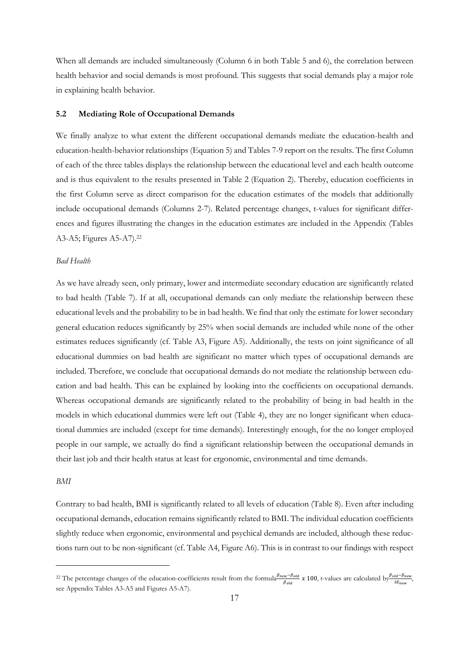When all demands are included simultaneously (Column 6 in both Table 5 and 6), the correlation between health behavior and social demands is most profound. This suggests that social demands play a major role in explaining health behavior.

#### **5.2 Mediating Role of Occupational Demands**

We finally analyze to what extent the different occupational demands mediate the education-health and education-health-behavior relationships (Equation 5) and Tables 7-9 report on the results. The first Column of each of the three tables displays the relationship between the educational level and each health outcome and is thus equivalent to the results presented in Table 2 (Equation 2). Thereby, education coefficients in the first Column serve as direct comparison for the education estimates of the models that additionally include occupational demands (Columns 2-7). Related percentage changes, t-values for significant differences and figures illustrating the changes in the education estimates are included in the Appendix (Tables A3-A5; Figures A5-A7).<sup>22</sup>

#### *Bad Health*

As we have already seen, only primary, lower and intermediate secondary education are significantly related to bad health (Table 7). If at all, occupational demands can only mediate the relationship between these educational levels and the probability to be in bad health. We find that only the estimate for lower secondary general education reduces significantly by 25% when social demands are included while none of the other estimates reduces significantly (cf. Table A3, Figure A5). Additionally, the tests on joint significance of all educational dummies on bad health are significant no matter which types of occupational demands are included. Therefore, we conclude that occupational demands do not mediate the relationship between education and bad health. This can be explained by looking into the coefficients on occupational demands. Whereas occupational demands are significantly related to the probability of being in bad health in the models in which educational dummies were left out (Table 4), they are no longer significant when educational dummies are included (except for time demands). Interestingly enough, for the no longer employed people in our sample, we actually do find a significant relationship between the occupational demands in their last job and their health status at least for ergonomic, environmental and time demands.

#### *BMI*

 $\overline{a}$ 

Contrary to bad health, BMI is significantly related to all levels of education (Table 8). Even after including occupational demands, education remains significantly related to BMI. The individual education coefficients slightly reduce when ergonomic, environmental and psychical demands are included, although these reductions turn out to be non-significant (cf. Table A4, Figure A6). This is in contrast to our findings with respect

<sup>&</sup>lt;sup>22</sup> The percentage changes of the education-coefficients result from the formula $\frac{\beta_{new} - \beta_{old}}{\beta_{old}} \times 100$ , t-values are calculated by  $\frac{\beta_{old} - \beta_{new}}{SE_{new}}$ , see Appendix Tables A3-A5 and Figures A5-A7).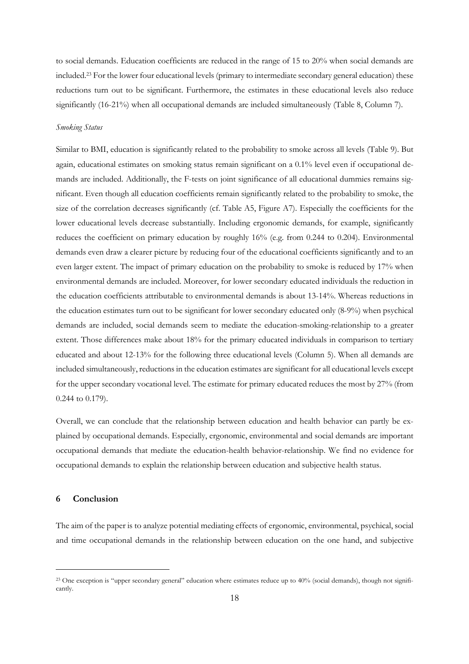to social demands. Education coefficients are reduced in the range of 15 to 20% when social demands are included.23 For the lower four educational levels (primary to intermediate secondary general education) these reductions turn out to be significant. Furthermore, the estimates in these educational levels also reduce significantly (16-21%) when all occupational demands are included simultaneously (Table 8, Column 7).

#### *Smoking Status*

Similar to BMI, education is significantly related to the probability to smoke across all levels (Table 9). But again, educational estimates on smoking status remain significant on a 0.1% level even if occupational demands are included. Additionally, the F-tests on joint significance of all educational dummies remains significant. Even though all education coefficients remain significantly related to the probability to smoke, the size of the correlation decreases significantly (cf. Table A5, Figure A7). Especially the coefficients for the lower educational levels decrease substantially. Including ergonomic demands, for example, significantly reduces the coefficient on primary education by roughly 16% (e.g. from 0.244 to 0.204). Environmental demands even draw a clearer picture by reducing four of the educational coefficients significantly and to an even larger extent. The impact of primary education on the probability to smoke is reduced by 17% when environmental demands are included. Moreover, for lower secondary educated individuals the reduction in the education coefficients attributable to environmental demands is about 13-14%. Whereas reductions in the education estimates turn out to be significant for lower secondary educated only (8-9%) when psychical demands are included, social demands seem to mediate the education-smoking-relationship to a greater extent. Those differences make about 18% for the primary educated individuals in comparison to tertiary educated and about 12-13% for the following three educational levels (Column 5). When all demands are included simultaneously, reductions in the education estimates are significant for all educational levels except for the upper secondary vocational level. The estimate for primary educated reduces the most by 27% (from 0.244 to 0.179).

Overall, we can conclude that the relationship between education and health behavior can partly be explained by occupational demands. Especially, ergonomic, environmental and social demands are important occupational demands that mediate the education-health behavior-relationship. We find no evidence for occupational demands to explain the relationship between education and subjective health status.

#### **6 Conclusion**

 $\overline{a}$ 

The aim of the paper is to analyze potential mediating effects of ergonomic, environmental, psychical, social and time occupational demands in the relationship between education on the one hand, and subjective

<sup>&</sup>lt;sup>23</sup> One exception is "upper secondary general" education where estimates reduce up to 40% (social demands), though not significantly.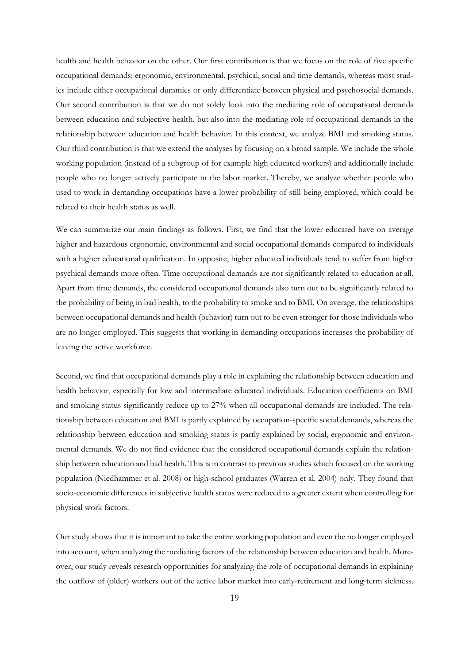health and health behavior on the other. Our first contribution is that we focus on the role of five specific occupational demands: ergonomic, environmental, psychical, social and time demands, whereas most studies include either occupational dummies or only differentiate between physical and psychosocial demands. Our second contribution is that we do not solely look into the mediating role of occupational demands between education and subjective health, but also into the mediating role of occupational demands in the relationship between education and health behavior. In this context, we analyze BMI and smoking status. Our third contribution is that we extend the analyses by focusing on a broad sample. We include the whole working population (instead of a subgroup of for example high educated workers) and additionally include people who no longer actively participate in the labor market. Thereby, we analyze whether people who used to work in demanding occupations have a lower probability of still being employed, which could be related to their health status as well.

We can summarize our main findings as follows. First, we find that the lower educated have on average higher and hazardous ergonomic, environmental and social occupational demands compared to individuals with a higher educational qualification. In opposite, higher educated individuals tend to suffer from higher psychical demands more often. Time occupational demands are not significantly related to education at all. Apart from time demands, the considered occupational demands also turn out to be significantly related to the probability of being in bad health, to the probability to smoke and to BMI. On average, the relationships between occupational demands and health (behavior) turn out to be even stronger for those individuals who are no longer employed. This suggests that working in demanding occupations increases the probability of leaving the active workforce.

Second, we find that occupational demands play a role in explaining the relationship between education and health behavior, especially for low and intermediate educated individuals. Education coefficients on BMI and smoking status significantly reduce up to 27% when all occupational demands are included. The relationship between education and BMI is partly explained by occupation-specific social demands, whereas the relationship between education and smoking status is partly explained by social, ergonomic and environmental demands. We do not find evidence that the considered occupational demands explain the relationship between education and bad health. This is in contrast to previous studies which focused on the working population (Niedhammer et al. 2008) or high-school graduates (Warren et al. 2004) only. They found that socio-economic differences in subjective health status were reduced to a greater extent when controlling for physical work factors.

Our study shows that it is important to take the entire working population and even the no longer employed into account, when analyzing the mediating factors of the relationship between education and health. Moreover, our study reveals research opportunities for analyzing the role of occupational demands in explaining the outflow of (older) workers out of the active labor market into early-retirement and long-term sickness.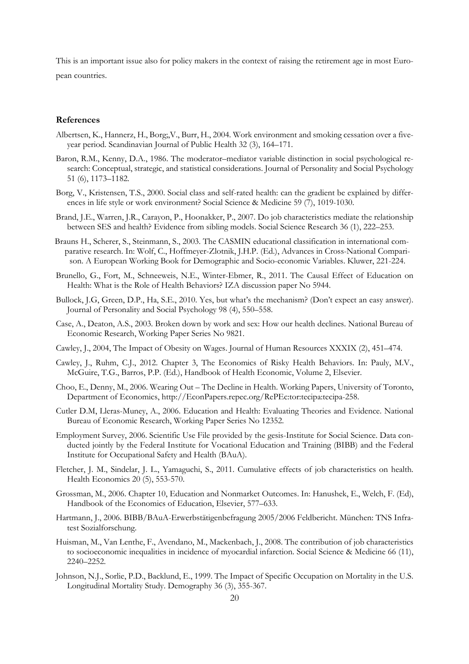This is an important issue also for policy makers in the context of raising the retirement age in most European countries.

#### **References**

- Albertsen, K., Hannerz, H., Borg;,V., Burr, H., 2004. Work environment and smoking cessation over a fiveyear period. Scandinavian Journal of Public Health 32 (3), 164–171.
- Baron, R.M., Kenny, D.A., 1986. The moderator–mediator variable distinction in social psychological research: Conceptual, strategic, and statistical considerations. Journal of Personality and Social Psychology 51 (6), 1173–1182.
- Borg, V., Kristensen, T.S., 2000. Social class and self-rated health: can the gradient be explained by differences in life style or work environment? Social Science & Medicine 59 (7), 1019-1030.
- Brand, J.E., Warren, J.R., Carayon, P., Hoonakker, P., 2007. Do job characteristics mediate the relationship between SES and health? Evidence from sibling models. Social Science Research 36 (1), 222–253.
- Brauns H., Scherer, S., Steinmann, S., 2003. The CASMIN educational classification in international comparative research. In: Wolf, C., Hoffmeyer-Zlotnik, J.H.P. (Ed.), Advances in Cross-National Comparison. A European Working Book for Demographic and Socio-economic Variables. Kluwer, 221-224.
- Brunello, G., Fort, M., Schneeweis, N.E., Winter-Ebmer, R., 2011. The Causal Effect of Education on Health: What is the Role of Health Behaviors? IZA discussion paper No 5944.
- Bullock, J.G, Green, D.P., Ha, S.E., 2010. Yes, but what's the mechanism? (Don't expect an easy answer). Journal of Personality and Social Psychology 98 (4), 550–558.
- Case, A., Deaton, A.S., 2003. Broken down by work and sex: How our health declines. National Bureau of Economic Research, Working Paper Series No 9821.
- Cawley, J., 2004, The Impact of Obesity on Wages. Journal of Human Resources XXXIX (2), 451–474.
- Cawley, J., Ruhm, C.J., 2012. Chapter 3, The Economics of Risky Health Behaviors. In: Pauly, M.V., McGuire, T.G., Barros, P.P. (Ed.), Handbook of Health Economic, Volume 2, Elsevier.
- Choo, E., Denny, M., 2006. Wearing Out The Decline in Health. Working Papers, University of Toronto, Department of Economics, http://EconPapers.repec.org/RePEc:tor:tecipa:tecipa-258.
- Cutler D.M, Lleras-Muney, A., 2006. Education and Health: Evaluating Theories and Evidence. National Bureau of Economic Research, Working Paper Series No 12352.
- Employment Survey, 2006. Scientific Use File provided by the gesis-Institute for Social Science. Data conducted jointly by the Federal Institute for Vocational Education and Training (BIBB) and the Federal Institute for Occupational Safety and Health (BAuA).
- Fletcher, J. M., Sindelar, J. L., Yamaguchi, S., 2011. Cumulative effects of job characteristics on health. Health Economics 20 (5), 553-570.
- Grossman, M., 2006. Chapter 10, Education and Nonmarket Outcomes. In: Hanushek, E., Welch, F. (Ed), Handbook of the Economics of Education, Elsevier, 577–633.
- Hartmann, J., 2006. BIBB/BAuA-Erwerbstätigenbefragung 2005/2006 Feldbericht. München: TNS Infratest Sozialforschung.
- Huisman, M., Van Lenthe, F., Avendano, M., Mackenbach, J., 2008. The contribution of job characteristics to socioeconomic inequalities in incidence of myocardial infarction. Social Science & Medicine 66 (11), 2240–2252.
- Johnson, N.J., Sorlie, P.D., Backlund, E., 1999. The Impact of Specific Occupation on Mortality in the U.S. Longitudinal Mortality Study. Demography 36 (3), 355-367.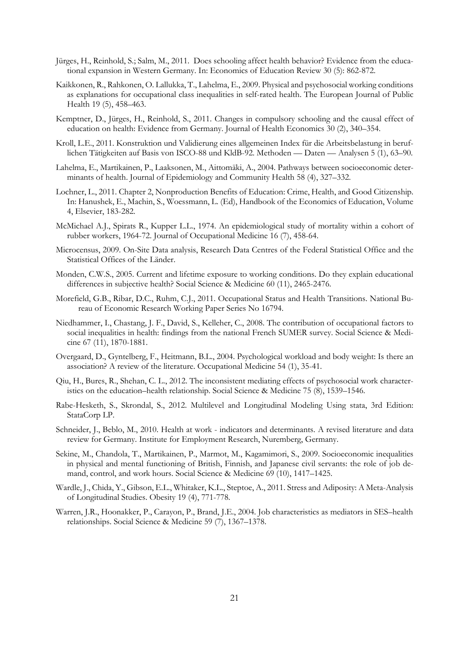- Jürges, H., Reinhold, S.; Salm, M., 2011. Does schooling affect health behavior? Evidence from the educational expansion in Western Germany. In: Economics of Education Review 30 (5): 862-872.
- Kaikkonen, R., Rahkonen, O. Lallukka, T., Lahelma, E., 2009. Physical and psychosocial working conditions as explanations for occupational class inequalities in self-rated health. The European Journal of Public Health 19 (5), 458–463.
- Kemptner, D., Jürges, H., Reinhold, S., 2011. Changes in compulsory schooling and the causal effect of education on health: Evidence from Germany. Journal of Health Economics 30 (2), 340–354.
- Kroll, L.E., 2011. Konstruktion und Validierung eines allgemeinen Index für die Arbeitsbelastung in beruflichen Tätigkeiten auf Basis von ISCO-88 und KldB-92. Methoden — Daten — Analysen 5 (1), 63–90.
- Lahelma, E., Martikainen, P., Laaksonen, M., Aittomäki, A., 2004. Pathways between socioeconomic determinants of health. Journal of Epidemiology and Community Health 58 (4), 327–332.
- Lochner, L., 2011. Chapter 2, Nonproduction Benefits of Education: Crime, Health, and Good Citizenship. In: Hanushek, E., Machin, S., Woessmann, L. (Ed), Handbook of the Economics of Education, Volume 4, Elsevier, 183-282.
- McMichael A.J., Spirats R., Kupper L.L., 1974. An epidemiological study of mortality within a cohort of rubber workers, 1964-72. Journal of Occupational Medicine 16 (7), 458-64.
- Microcensus, 2009. On-Site Data analysis, Research Data Centres of the Federal Statistical Office and the Statistical Offices of the Länder.
- Monden, C.W.S., 2005. Current and lifetime exposure to working conditions. Do they explain educational differences in subjective health? Social Science & Medicine 60 (11), 2465-2476.
- Morefield, G.B., Ribar, D.C., Ruhm, C.J., 2011. Occupational Status and Health Transitions. National Bureau of Economic Research Working Paper Series No 16794.
- Niedhammer, I., Chastang, J. F., David, S., Kelleher, C., 2008. The contribution of occupational factors to social inequalities in health: findings from the national French SUMER survey. Social Science & Medicine 67 (11), 1870-1881.
- Overgaard, D., Gyntelberg, F., Heitmann, B.L., 2004. Psychological workload and body weight: Is there an association? A review of the literature. Occupational Medicine 54 (1), 35-41.
- Qiu, H., Bures, R., Shehan, C. L., 2012. The inconsistent mediating effects of psychosocial work characteristics on the education–health relationship. Social Science & Medicine 75 (8), 1539–1546.
- Rabe-Hesketh, S., Skrondal, S., 2012. Multilevel and Longitudinal Modeling Using stata, 3rd Edition: StataCorp LP.
- Schneider, J., Beblo, M., 2010. Health at work indicators and determinants. A revised literature and data review for Germany. Institute for Employment Research, Nuremberg, Germany.
- Sekine, M., Chandola, T., Martikainen, P., Marmot, M., Kagamimori, S., 2009. Socioeconomic inequalities in physical and mental functioning of British, Finnish, and Japanese civil servants: the role of job demand, control, and work hours. Social Science & Medicine 69 (10), 1417–1425.
- Wardle, J., Chida, Y., Gibson, E.L., Whitaker, K.L., Steptoe, A., 2011. Stress and Adiposity: A Meta-Analysis of Longitudinal Studies. Obesity 19 (4), 771-778.
- Warren, J.R., Hoonakker, P., Carayon, P., Brand, J.E., 2004. Job characteristics as mediators in SES–health relationships. Social Science & Medicine 59 (7), 1367–1378.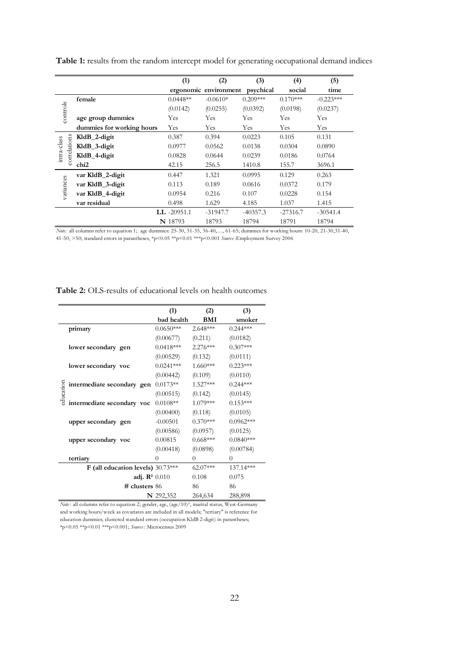|             |                                                                                                                                                                                                                                             | (1)            | (2)                   | (3)        | (4)        | (5)         |  |  |  |
|-------------|---------------------------------------------------------------------------------------------------------------------------------------------------------------------------------------------------------------------------------------------|----------------|-----------------------|------------|------------|-------------|--|--|--|
|             |                                                                                                                                                                                                                                             |                | ergonomic environment | psychical  | social     | time        |  |  |  |
|             | female                                                                                                                                                                                                                                      | $0.0448**$     | $-0.0610*$            | $0.209***$ | $0.170***$ | $-0.223***$ |  |  |  |
|             |                                                                                                                                                                                                                                             | (0.0142)       | (0.0255)              | (0.0392)   | (0.0198)   | (0.0237)    |  |  |  |
| controls    | age group dummies                                                                                                                                                                                                                           | Yes            | Yes                   | Yes        | Yes        | Yes         |  |  |  |
|             | dummies for working hours                                                                                                                                                                                                                   | Yes            | Yes                   | Yes        | Yes        | <b>Yes</b>  |  |  |  |
| ã           | KldB_2-digit                                                                                                                                                                                                                                | 0.387          | 0.394                 | 0.0223     | 0.105      | 0.131       |  |  |  |
| rrelatio    | KldB 3-digit                                                                                                                                                                                                                                | 0.0977         | 0.0562                | 0.0138     | 0.0304     | 0.0890      |  |  |  |
| intra-class | KldB_4-digit                                                                                                                                                                                                                                | 0.0828         | 0.0644                | 0.0239     | 0.0186     | 0.0764      |  |  |  |
| S           | chi <sub>2</sub>                                                                                                                                                                                                                            | 42.15          | 256.5                 | 1410.8     | 155.7      | 3696.1      |  |  |  |
|             | var KldB 2-digit                                                                                                                                                                                                                            | 0.447          | 1.321                 | 0.0995     | 0.129      | 0.263       |  |  |  |
| variances   | var KldB_3-digit                                                                                                                                                                                                                            | 0.113          | 0.189                 | 0.0616     | 0.0372     | 0.179       |  |  |  |
|             | var KldB_4-digit                                                                                                                                                                                                                            | 0.0954         | 0.216                 | 0.107      | 0.0228     | 0.154       |  |  |  |
|             | var residual                                                                                                                                                                                                                                | 0.498          | 1.629                 | 4.185      | 1.037      | 1.415       |  |  |  |
|             |                                                                                                                                                                                                                                             | $LL -20951.1$  | $-31947.7$            | $-40357.3$ | $-27316.7$ | $-30541.4$  |  |  |  |
|             |                                                                                                                                                                                                                                             | <b>N</b> 18793 | 18793                 | 18794      | 18791      | 18794       |  |  |  |
|             | Note: all columns refer to equation 1; age dummies: 25-30, 31-35, 36-40,, 61-65; dummies for working hours: 10-20, 21-30, 31-40,<br>41-50, >50; standard errors in parantheses, *p<0.05 **p<0.01 ***p<0.001 $Source:Employment$ Survey 2006 |                |                       |            |            |             |  |  |  |

Table 1: results from the random intercept model for generating occupational demand indices

| Table 2: OLS-results of educational levels on health outcomes |  |
|---------------------------------------------------------------|--|
|---------------------------------------------------------------|--|

|           |                                                          | (1)         | (2)        | (3)         |
|-----------|----------------------------------------------------------|-------------|------------|-------------|
|           |                                                          | bad health  | BMI        | smoker      |
|           | primary                                                  | $0.0650***$ | $2.648***$ | $0.244***$  |
| education |                                                          | (0.00677)   | (0.211)    | (0.0182)    |
|           | lower secondary gen                                      | $0.0418***$ | $2.276***$ | $0.307***$  |
|           |                                                          | (0.00529)   | (0.132)    | (0.0111)    |
|           | lower secondary voc                                      | $0.0241***$ | $1.660***$ | $0.223***$  |
|           |                                                          | (0.00442)   | (0.109)    | (0.0110)    |
|           | intermediate secondary gen<br>intermediate secondary voc | $0.0173**$  | 1.527***   | $0.244***$  |
|           |                                                          | (0.00515)   | (0.142)    | (0.0145)    |
|           |                                                          | $0.0108**$  | 1.079***   | $0.153***$  |
|           |                                                          | (0.00400)   | (0.118)    | (0.0105)    |
|           | upper secondary gen                                      | $-0.00501$  | $0.370***$ | $0.0962***$ |
|           |                                                          | (0.00586)   | (0.0957)   | (0.0125)    |
|           | upper secondary voc                                      | 0.00815     | $0.668***$ | $0.0840***$ |
|           |                                                          | (0.00418)   | (0.0898)   | (0.00784)   |
|           | tertiary                                                 | 0           | $\theta$   | $\theta$    |
|           | F (all education levels) $30.73***$                      |             | $62.07***$ | 137.14***   |
|           | adj. $\mathbb{R}^2$ 0.010                                |             | 0.108      | 0.075       |
|           | $#$ clusters 86                                          |             | 86         | 86          |
|           |                                                          | N 292,352   | 264,634    | 288,898     |

*Note*: all columns refer to equation 2; gender, age, (age/10)<sup>2</sup>, marital status, West-Germany and working hours/week as covariates are included in all models; "tertiary" is reference for education dummies; clustered standard errors (occupation KldB 2-digit) in parantheses; \*p<0.05 \*\*p<0.01 \*\*\*p<0.001; *Source* : Microcensus 2009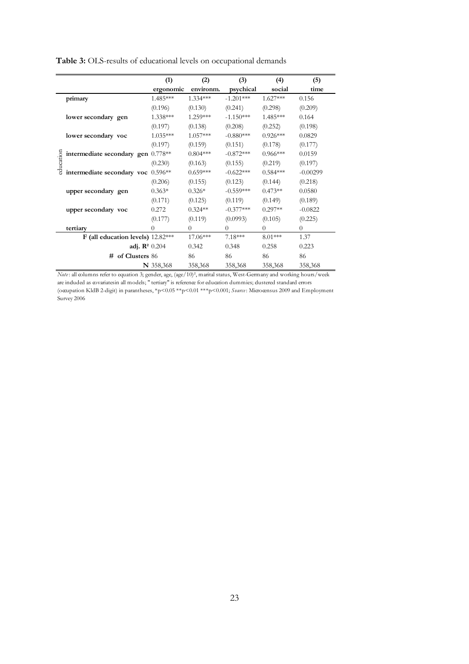|                                      | (1)         | (2)        | (3)         | (4)            | (5)            |
|--------------------------------------|-------------|------------|-------------|----------------|----------------|
|                                      | ergonomic   | environm.  | psychical   | social         | time           |
| primary                              | 1.485***    | 1.334***   | $-1.201***$ | $1.627***$     | 0.156          |
|                                      | (0.196)     | (0.130)    | (0.241)     | (0.298)        | (0.209)        |
| lower secondary gen                  | $1.338***$  | 1.259***   | $-1.150***$ | 1.485***       | 0.164          |
|                                      | (0.197)     | (0.138)    | (0.208)     | (0.252)        | (0.198)        |
| lower secondary voc                  | 1.035***    | $1.057***$ | $-0.880***$ | $0.926***$     | 0.0829         |
|                                      | (0.197)     | (0.159)    | (0.151)     | (0.178)        | (0.177)        |
| intermediate secondary gen $0.778**$ |             | $0.804***$ | $-0.872***$ | $0.966***$     | 0.0159         |
| education                            | (0.230)     | (0.163)    | (0.155)     | (0.219)        | (0.197)        |
| intermediate secondary voc 0.596**   |             | $0.659***$ | $-0.622***$ | $0.584***$     | $-0.00299$     |
|                                      | (0.206)     | (0.155)    | (0.123)     | (0.144)        | (0.218)        |
| upper secondary gen                  | $0.363*$    | $0.326*$   | $-0.559***$ | $0.473**$      | 0.0580         |
|                                      | (0.171)     | (0.125)    | (0.119)     | (0.149)        | (0.189)        |
| upper secondary voc                  | 0.272       | $0.324**$  | $-0.377***$ | $0.297**$      | $-0.0822$      |
|                                      | (0.177)     | (0.119)    | (0.0993)    | (0.105)        | (0.225)        |
| tertiary                             | $^{(1)}$    | 0          | $\Omega$    | $\overline{0}$ | $\overline{0}$ |
| F (all education levels) $12.82***$  |             | 17.06***   | $7.18***$   | $8.01***$      | 1.37           |
| adj. $\mathbb{R}^2$ 0.204            |             | 0.342      | 0.348       | 0.258          | 0.223          |
| # of Clusters 86                     |             | 86         | 86          | 86             | 86             |
|                                      | $N$ 358,368 | 358,368    | 358,368     | 358,368        | 358,368        |

**Table 3:** OLS-results of educational levels on occupational demands

*Note* : all columns refer to equation 3; gender, age, (age/10)², marital status, West-Germany and working hours/week are induded as covariatesin all models; " tertiary" is reference for education dummies; dustered standard errors (occupation KldB 2-digit) in parantheses, \*p<0.05 \*\*p<0.01 \*\*\*p<0.001; *Source* : Microcensus 2009 and Employment Survey 2006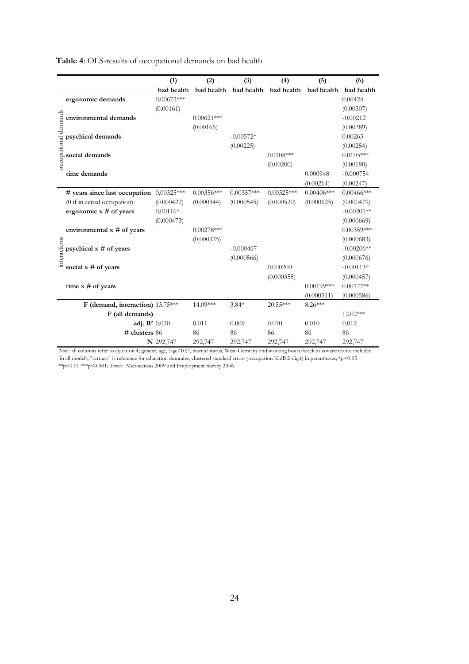| Table 4: OLS-results of occupational demands on bad health |  |  |  |
|------------------------------------------------------------|--|--|--|
|------------------------------------------------------------|--|--|--|

|                      |                                          | (1)          | (2)          | (3)          | (4)          | (5)           | (6)           |
|----------------------|------------------------------------------|--------------|--------------|--------------|--------------|---------------|---------------|
|                      |                                          | bad health   | bad health   | bad health   | bad health   | bad health    | bad health    |
|                      | ergonomic demands                        | $0.00672***$ |              |              |              |               | 0.00424       |
| occupational demands |                                          | (0.00161)    |              |              |              |               | (0.00307)     |
|                      | environmental demands                    |              | $0.00621***$ |              |              |               | $-0.00212$    |
|                      |                                          |              | (0.00165)    |              |              |               | (0.00289)     |
|                      | psychical demands                        |              |              | $-0.00572*$  |              |               | 0.00263       |
|                      |                                          |              |              | (0.00225)    |              |               | (0.00254)     |
|                      | social demands                           |              |              |              | $0.0108***$  |               | $0.0103***$   |
|                      |                                          |              |              |              | (0.00200)    |               | (0.00190)     |
|                      | time demands                             |              |              |              |              | 0.000948      | $-0.000754$   |
|                      |                                          |              |              |              |              | (0.00214)     | (0.00247)     |
|                      | # years since last occupation 0.00325*** |              | $0.00356***$ | $0.00357***$ | $0.00325***$ | $0.00406***$  | $0.00466$ *** |
|                      | (0 if in actual occupation)              | (0.000422)   | (0.000344)   | (0.000545)   | (0.000520)   | (0.000625)    | (0.000479)    |
|                      | ergonomic $x \#$ of years                | $0.00116*$   |              |              |              |               | $-0.00201**$  |
|                      |                                          | (0.000473)   |              |              |              |               | (0.000669)    |
|                      | environmental $x \#$ of years            |              | $0.00278***$ |              |              |               | $0.00359***$  |
|                      |                                          |              | (0.000325)   |              |              |               | (0.000683)    |
| interactions         | psychical $x \#$ of years                |              |              | $-0.000467$  |              |               | $-0.00206**$  |
|                      |                                          |              |              | (0.000566)   |              |               | (0.000676)    |
|                      | social $x \#$ of years                   |              |              |              | 0.000200     |               | $-0.00113*$   |
|                      |                                          |              |              |              | (0.000355)   |               | (0.000457)    |
|                      | time $x \#$ of years                     |              |              |              |              | $0.00199$ *** | $0.00177**$   |
|                      |                                          |              |              |              |              | (0.000511)    | (0.000586)    |
|                      | F (demand, interaction) 13.75***         |              | 14.09***     | $3.84*$      | $20.55***$   | 8.26***       |               |
|                      | F (all demands)                          |              |              |              |              |               | 12.02***      |
|                      | adj. $\mathbb{R}^2$ 0.010                |              | 0.011        | 0.009        | 0.010        | 0.010         | 0.012         |
|                      | # clusters 86                            |              | 86           | 86           | 86           | 86            | 86            |
|                      |                                          | N 292,747    | 292,747      | 292,747      | 292,747      | 292,747       | 292,747       |

*Note* : all columns refer to equation 4; gender, age, (age/10)², marital status, West-Germany and working hours/week as covariates are included in all models; "tertiary" is reference for education dummies; clustered standard errors (occupation KldB 2-digit) in parantheses; \*p<0.05 \*\*p<0.01 \*\*\*p<0.001; *Source* : Microcensus 2009 and Employment Survey 2006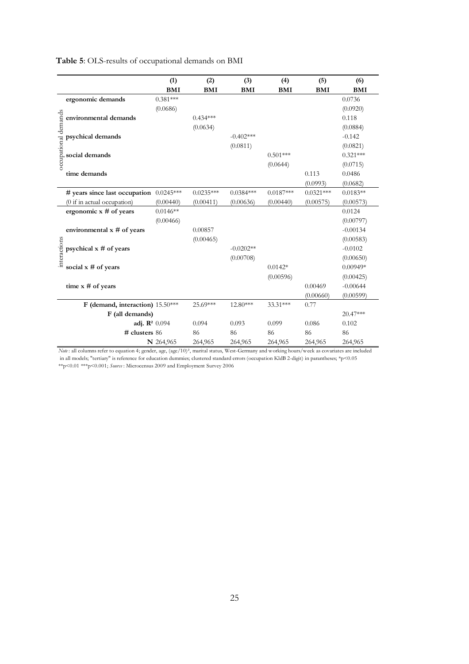| Table 5: OLS-results of occupational demands on BMI |  |
|-----------------------------------------------------|--|
|-----------------------------------------------------|--|

|                      |                                  | (1)<br><b>BMI</b> | (2)<br><b>BMI</b> | (3)<br>BMI  | (4)<br><b>BMI</b> | (5)<br><b>BMI</b> | (6)<br><b>BMI</b> |
|----------------------|----------------------------------|-------------------|-------------------|-------------|-------------------|-------------------|-------------------|
|                      | ergonomic demands                | $0.381***$        |                   |             |                   |                   | 0.0736            |
| occupational demands |                                  | (0.0686)          |                   |             |                   |                   | (0.0920)          |
|                      | environmental demands            |                   | $0.434***$        |             |                   |                   | 0.118             |
|                      |                                  |                   | (0.0634)          |             |                   |                   | (0.0884)          |
|                      | psychical demands                |                   |                   | $-0.402***$ |                   |                   | $-0.142$          |
|                      |                                  |                   |                   | (0.0811)    |                   |                   | (0.0821)          |
|                      | social demands                   |                   |                   |             | $0.501***$        |                   | $0.321***$        |
|                      |                                  |                   |                   |             | (0.0644)          |                   | (0.0715)          |
|                      | time demands                     |                   |                   |             |                   | 0.113             | 0.0486            |
|                      |                                  |                   |                   |             |                   | (0.0993)          | (0.0682)          |
|                      | # years since last occupation    | $0.0245***$       | $0.0235***$       | $0.0384***$ | $0.0187***$       | $0.0321***$       | $0.0183**$        |
|                      | (0 if in actual occupation)      | (0.00440)         | (0.00411)         | (0.00636)   | (0.00440)         | (0.00575)         | (0.00573)         |
|                      | ergonomic x # of years           | $0.0146**$        |                   |             |                   |                   | 0.0124            |
|                      |                                  | (0.00466)         |                   |             |                   |                   | (0.00797)         |
|                      | environmental $x \#$ of years    |                   | 0.00857           |             |                   |                   | $-0.00134$        |
|                      |                                  |                   | (0.00465)         |             |                   |                   | (0.00583)         |
| interactions         | psychical $x \#$ of years        |                   |                   | $-0.0202**$ |                   |                   | $-0.0102$         |
|                      |                                  |                   |                   | (0.00708)   |                   |                   | (0.00650)         |
|                      | social $x \#$ of years           |                   |                   |             | $0.0142*$         |                   | $0.00949*$        |
|                      |                                  |                   |                   |             | (0.00596)         |                   | (0.00425)         |
|                      | time $x \#$ of years             |                   |                   |             |                   | 0.00469           | $-0.00644$        |
|                      |                                  |                   |                   |             |                   | (0.00660)         | (0.00599)         |
|                      | F (demand, interaction) 15.50*** |                   | 25.69***          | $12.80***$  | 33.31***          | 0.77              |                   |
|                      | F (all demands)                  |                   |                   |             |                   |                   | 20.47***          |
|                      | adj. $\mathbb{R}^2$ 0.094        |                   | 0.094             | 0.093       | 0.099             | 0.086             | 0.102             |
|                      | # clusters 86                    |                   | 86                | 86          | 86                | 86                | 86                |
|                      |                                  | N 264,965         | 264,965           | 264,965     | 264,965           | 264,965           | 264,965           |

*Note* : all columns refer to equation 4; gender, age, (age/10)², marital status, West-Germany and working hours/week as covariates are included in all models; "tertiary" is reference for education dummies; clustered standard errors (occupation KldB 2-digit) in parantheses; \*p<0.05 \*\*p<0.01 \*\*\*p<0.001; *Source* : Microcensus 2009 and Employment Survey 2006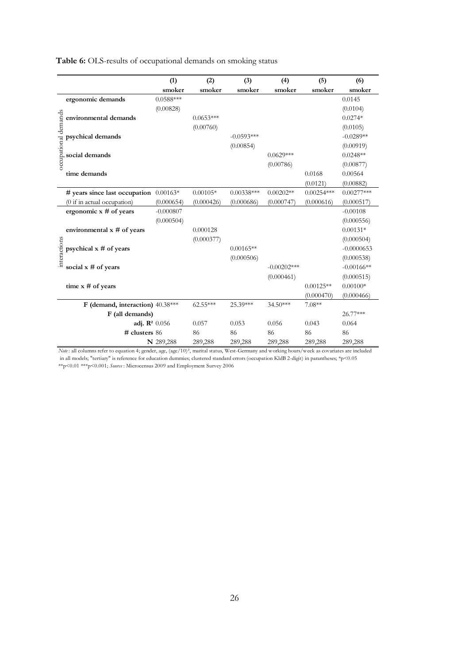**Table 6:** OLS-results of occupational demands on smoking status

|                      |                                                                                                                                                            | (1)         | (2)         | (3)          | (4)            | (5)          | (6)          |  |  |  |
|----------------------|------------------------------------------------------------------------------------------------------------------------------------------------------------|-------------|-------------|--------------|----------------|--------------|--------------|--|--|--|
|                      |                                                                                                                                                            | smoker      | smoker      | smoker       | smoker         | smoker       | smoker       |  |  |  |
|                      | ergonomic demands                                                                                                                                          | $0.0588***$ |             |              |                |              | 0.0145       |  |  |  |
|                      |                                                                                                                                                            | (0.00828)   |             |              |                |              | (0.0104)     |  |  |  |
| occupational demands | environmental demands                                                                                                                                      |             | $0.0653***$ |              |                |              | $0.0274*$    |  |  |  |
|                      |                                                                                                                                                            |             | (0.00760)   |              |                |              | (0.0105)     |  |  |  |
|                      | psychical demands                                                                                                                                          |             |             | $-0.0593***$ |                |              | $-0.0289**$  |  |  |  |
|                      |                                                                                                                                                            |             |             | (0.00854)    |                |              | (0.00919)    |  |  |  |
|                      | social demands                                                                                                                                             |             |             |              | $0.0629***$    |              | $0.0248**$   |  |  |  |
|                      |                                                                                                                                                            |             |             |              | (0.00786)      |              | (0.00877)    |  |  |  |
|                      | time demands                                                                                                                                               |             |             |              |                | 0.0168       | 0.00564      |  |  |  |
|                      |                                                                                                                                                            |             |             |              |                | (0.0121)     | (0.00882)    |  |  |  |
|                      | # years since last occupation $0.00163*$                                                                                                                   |             | $0.00105*$  | $0.00338***$ | $0.00202**$    | $0.00254***$ | $0.00277***$ |  |  |  |
|                      | (0 if in actual occupation)                                                                                                                                | (0.000654)  | (0.000426)  | (0.000686)   | (0.000747)     | (0.000616)   | (0.000517)   |  |  |  |
|                      | ergonomic $x \#$ of years                                                                                                                                  | $-0.000807$ |             |              |                |              | $-0.00108$   |  |  |  |
|                      |                                                                                                                                                            | (0.000504)  |             |              |                |              | (0.000556)   |  |  |  |
|                      | environmental $x \#$ of years                                                                                                                              |             | 0.000128    |              |                |              | $0.00131*$   |  |  |  |
|                      |                                                                                                                                                            |             | (0.000377)  |              |                |              | (0.000504)   |  |  |  |
|                      | psychical $x \#$ of years                                                                                                                                  |             |             | $0.00165**$  |                |              | $-0.0000653$ |  |  |  |
| interactions         |                                                                                                                                                            |             |             | (0.000506)   |                |              | (0.000538)   |  |  |  |
|                      | social $x \#$ of years                                                                                                                                     |             |             |              | $-0.00202$ *** |              | $-0.00166**$ |  |  |  |
|                      |                                                                                                                                                            |             |             |              | (0.000461)     |              | (0.000515)   |  |  |  |
|                      | time $x \#$ of years                                                                                                                                       |             |             |              |                | $0.00125**$  | $0.00100*$   |  |  |  |
|                      |                                                                                                                                                            |             |             |              |                | (0.000470)   | (0.000466)   |  |  |  |
|                      | F (demand, interaction) 40.38***                                                                                                                           |             | $62.55***$  | 25.39***     | 34.50***       | $7.08**$     |              |  |  |  |
|                      | F (all demands)                                                                                                                                            |             |             |              |                |              | 26.77***     |  |  |  |
|                      | adj. $\mathbb{R}^2$ 0.056                                                                                                                                  |             | 0.057       | 0.053        | 0.056          | 0.043        | 0.064        |  |  |  |
|                      | $#$ clusters 86                                                                                                                                            |             | 86          | 86           | 86             | 86           | 86           |  |  |  |
|                      |                                                                                                                                                            | N 289,288   | 289,288     | 289,288      | 289,288        | 289,288      | 289,288      |  |  |  |
|                      | Note: all columns refer to equation 4; gender, age, (age/10) <sup>2</sup> , marital status, West-Germany and working hours/week as covariates are included |             |             |              |                |              |              |  |  |  |
|                      | in all models; "tertiary" is reference for education dummies; clustered standard errors (occupation KldB 2-digit) in parantheses; *p<0.05                  |             |             |              |                |              |              |  |  |  |
|                      | **p<0.01 ***p<0.001; Source: Microcensus 2009 and Employment Survey 2006                                                                                   |             |             |              |                |              |              |  |  |  |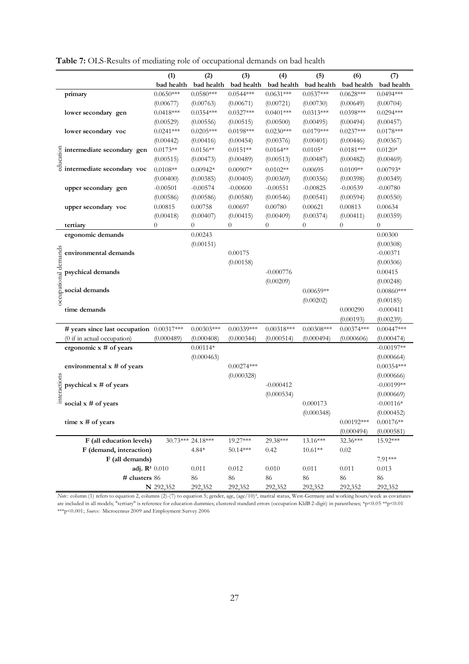|                     |                                                                                                                                                                                                                                 | (1)              | (2)               | (3)            | (4)            | (5)          | (6)          | (7)          |
|---------------------|---------------------------------------------------------------------------------------------------------------------------------------------------------------------------------------------------------------------------------|------------------|-------------------|----------------|----------------|--------------|--------------|--------------|
|                     |                                                                                                                                                                                                                                 | bad health       | bad health        | bad health     | bad health     | bad health   | bad health   | bad health   |
|                     | primary                                                                                                                                                                                                                         | $0.0650***$      | $0.0580***$       | $0.0544***$    | $0.0631***$    | $0.0537***$  | $0.0628***$  | $0.0494***$  |
|                     |                                                                                                                                                                                                                                 | (0.00677)        | (0.00763)         | (0.00671)      | (0.00721)      | (0.00730)    | (0.00649)    | (0.00704)    |
|                     | lower secondary gen                                                                                                                                                                                                             | $0.0418***$      | $0.0354***$       | $0.0327***$    | $0.0401***$    | $0.0313***$  | $0.0398***$  | $0.0294***$  |
|                     |                                                                                                                                                                                                                                 | (0.00529)        | (0.00556)         | (0.00515)      | (0.00500)      | (0.00495)    | (0.00494)    | (0.00457)    |
|                     | lower secondary voc                                                                                                                                                                                                             | $0.0241***$      | $0.0205***$       | $0.0198***$    | $0.0230***$    | $0.0179***$  | $0.0237***$  | $0.0178***$  |
|                     |                                                                                                                                                                                                                                 | (0.00442)        | (0.00416)         | (0.00454)      | (0.00376)      | (0.00401)    | (0.00446)    | (0.00367)    |
|                     |                                                                                                                                                                                                                                 | $0.0173**$       | $0.0156**$        | $0.0151**$     | $0.0164**$     | $0.0105*$    | $0.0181***$  | $0.0120*$    |
|                     |                                                                                                                                                                                                                                 | (0.00515)        | (0.00473)         | (0.00489)      | (0.00513)      | (0.00487)    | (0.00482)    | (0.00469)    |
|                     | Simulate secondary general secondary<br>Simulate secondary vocation of the secondary vocation of the secondary vocation of the secondary vocation of the secondary vocation of the secondary vocation of the secondary vocation | $0.0108**$       | $0.00942*$        | $0.00907*$     | $0.0102**$     | 0.00695      | $0.0109**$   | $0.00793*$   |
|                     |                                                                                                                                                                                                                                 | (0.00400)        | (0.00385)         | (0.00405)      | (0.00369)      | (0.00356)    | (0.00398)    | (0.00349)    |
|                     | upper secondary gen                                                                                                                                                                                                             | $-0.00501$       | $-0.00574$        | $-0.00600$     | $-0.00551$     | $-0.00825$   | $-0.00539$   | $-0.00780$   |
|                     |                                                                                                                                                                                                                                 | (0.00586)        | (0.00586)         | (0.00580)      | (0.00546)      | (0.00541)    | (0.00594)    | (0.00550)    |
|                     | upper secondary voc                                                                                                                                                                                                             | 0.00815          | 0.00758           | 0.00697        | 0.00780        | 0.00621      | 0.00813      | 0.00634      |
|                     |                                                                                                                                                                                                                                 | (0.00418)        | (0.00407)         | (0.00415)      | (0.00409)      | (0.00374)    | (0.00411)    | (0.00359)    |
|                     | tertiary                                                                                                                                                                                                                        | $\boldsymbol{0}$ | $\overline{0}$    | $\overline{0}$ | $\overline{0}$ | $\theta$     | 0            | $\theta$     |
|                     | ergonomic demands                                                                                                                                                                                                               |                  | 0.00243           |                |                |              |              | 0.00300      |
|                     |                                                                                                                                                                                                                                 |                  | (0.00151)         |                |                |              |              | (0.00308)    |
|                     | environmental demands                                                                                                                                                                                                           |                  |                   | 0.00175        |                |              |              | $-0.00371$   |
|                     |                                                                                                                                                                                                                                 |                  |                   | (0.00158)      |                |              |              | (0.00306)    |
|                     | psychical demands                                                                                                                                                                                                               |                  |                   |                | $-0.000776$    |              |              | 0.00415      |
|                     |                                                                                                                                                                                                                                 |                  |                   |                | (0.00209)      |              |              | (0.00248)    |
|                     | social demands                                                                                                                                                                                                                  |                  |                   |                |                | $0.00659**$  |              | $0.00860***$ |
| occupational demand |                                                                                                                                                                                                                                 |                  |                   |                |                | (0.00202)    |              | (0.00185)    |
|                     | time demands                                                                                                                                                                                                                    |                  |                   |                |                |              | 0.000290     | $-0.000411$  |
|                     |                                                                                                                                                                                                                                 |                  |                   |                |                |              | (0.00193)    | (0.00239)    |
|                     | # years since last occupation 0.00317***                                                                                                                                                                                        |                  | $0.00303***$      | $0.00339***$   | $0.00318***$   | $0.00308***$ | $0.00374***$ | $0.00447***$ |
|                     | (0 if in actual occupation)                                                                                                                                                                                                     | (0.000489)       | (0.000408)        | (0.000344)     | (0.000514)     | (0.000494)   | (0.000606)   | (0.000474)   |
|                     | ergonomic $x \#$ of years                                                                                                                                                                                                       |                  | $0.00114*$        |                |                |              |              | $-0.00197**$ |
|                     |                                                                                                                                                                                                                                 |                  | (0.000463)        |                |                |              |              | (0.000664)   |
|                     | environmental $x \#$ of years                                                                                                                                                                                                   |                  |                   | $0.00274***$   |                |              |              | $0.00354***$ |
|                     |                                                                                                                                                                                                                                 |                  |                   | (0.000328)     |                |              |              | (0.000666)   |
|                     | psychical $x \#$ of years                                                                                                                                                                                                       |                  |                   |                | $-0.000412$    |              |              | $-0.00199**$ |
| interactions        |                                                                                                                                                                                                                                 |                  |                   |                | (0.000534)     |              |              | (0.000669)   |
|                     | social $x \#$ of years                                                                                                                                                                                                          |                  |                   |                |                | 0.000173     |              | $-0.00116*$  |
|                     |                                                                                                                                                                                                                                 |                  |                   |                |                | (0.000348)   |              | (0.000452)   |
|                     | time $x \#$ of years                                                                                                                                                                                                            |                  |                   |                |                |              | $0.00192***$ | $0.00176**$  |
|                     |                                                                                                                                                                                                                                 |                  |                   |                |                |              | (0.000494)   | (0.000581)   |
|                     | F (all education levels)                                                                                                                                                                                                        |                  | 30.73*** 24.18*** | 19.27***       | 29.38***       | $13.16***$   | 32.36***     | 15.92***     |
|                     | F (demand, interaction)                                                                                                                                                                                                         |                  | $4.84*$           | $50.14***$     | 0.42           | $10.61**$    | 0.02         |              |
|                     | F (all demands)                                                                                                                                                                                                                 |                  |                   |                |                |              |              | 7.91***      |
|                     | adj. $\mathbb{R}^2$ 0.010                                                                                                                                                                                                       |                  | 0.011             | 0.012          | 0.010          | 0.011        | 0.011        | 0.013        |
|                     | # clusters 86                                                                                                                                                                                                                   |                  | 86                | 86             | 86             | 86           | 86           | 86           |
|                     |                                                                                                                                                                                                                                 | N 292,352        | 292,352           | 292,352        | 292,352        | 292,352      | 292,352      | 292,352      |

**Table 7:** OLS-Results of mediating role of occupational demands on bad health

*Note:* column (1) refers to equation 2, columns (2)-(7) to equation 5; gender, age, (age/10)², marital status, West-Germany and working hours/week as covariates are included in all models; "tertiary" is reference for education dummies; clustered standard errors (occupation KldB 2-digit) in parantheses; \*p<0.05 \*\*p<0.01 \*\*\*p<0.001; *Source:* Microcensus 2009 and Employment Survey 2006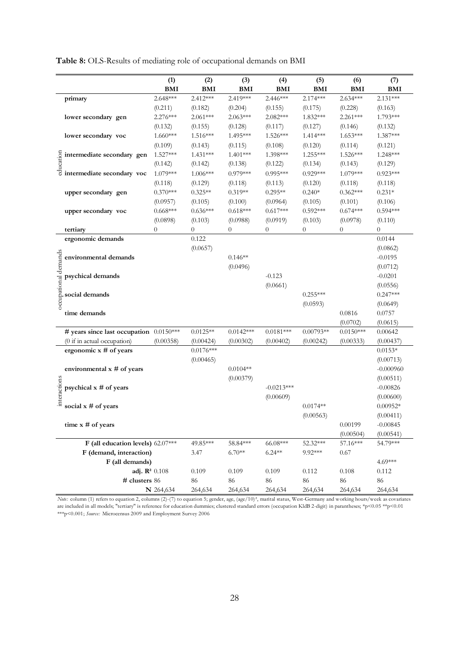**Table 8:** OLS-Results of mediating role of occupational demands on BMI

|                      |                                         | (1)            | (2)            | (3)         | (4)            | (5)         | (6)              | (7)         |
|----------------------|-----------------------------------------|----------------|----------------|-------------|----------------|-------------|------------------|-------------|
|                      |                                         | <b>BMI</b>     | <b>BMI</b>     | <b>BMI</b>  | <b>BMI</b>     | <b>BMI</b>  | <b>BMI</b>       | <b>BMI</b>  |
|                      | primary                                 | $2.648***$     | $2.412***$     | 2.419***    | 2.446***       | 2.174***    | $2.634***$       | $2.131***$  |
|                      |                                         | (0.211)        | (0.182)        | (0.204)     | (0.155)        | (0.175)     | (0.228)          | (0.163)     |
|                      | lower secondary gen                     | $2.276***$     | $2.061***$     | $2.063***$  | 2.082***       | 1.832***    | 2.261***         | 1.793***    |
|                      |                                         | (0.132)        | (0.155)        | (0.128)     | (0.117)        | (0.127)     | (0.146)          | (0.132)     |
|                      | lower secondary voc                     | $1.660***$     | $1.516***$     | 1.495***    | 1.526***       | $1.414***$  | 1.653***         | 1.387***    |
|                      |                                         | (0.109)        | (0.143)        | (0.115)     | (0.108)        | (0.120)     | (0.114)          | (0.121)     |
|                      |                                         | $1.527***$     | 1.431***       | $1.401***$  | 1.398***       | $1.255***$  | 1.526***         | $1.248***$  |
|                      |                                         | (0.142)        | (0.142)        | (0.138)     | (0.122)        | (0.134)     | (0.143)          | (0.129)     |
|                      | Sintermediate secondary gen             | 1.079***       | $1.006***$     | $0.979***$  | $0.995***$     | $0.929***$  | 1.079***         | $0.923***$  |
|                      |                                         | (0.118)        | (0.129)        | (0.118)     | (0.113)        | (0.120)     | (0.118)          | (0.118)     |
|                      | upper secondary gen                     | $0.370***$     | $0.325**$      | $0.319**$   | $0.295**$      | $0.240*$    | $0.362***$       | $0.231*$    |
|                      |                                         | (0.0957)       | (0.105)        | (0.100)     | (0.0964)       | (0.105)     | (0.101)          | (0.106)     |
|                      | upper secondary voc                     | $0.668***$     | $0.636***$     | $0.618***$  | $0.617***$     | $0.592***$  | $0.674***$       | $0.594***$  |
|                      |                                         | (0.0898)       | (0.103)        | (0.0988)    | (0.0919)       | (0.103)     | (0.0978)         | (0.110)     |
|                      | tertiary                                | $\overline{0}$ | $\overline{0}$ | $\theta$    | $\overline{0}$ | 0           | $\boldsymbol{0}$ | $\theta$    |
|                      | ergonomic demands                       |                | 0.122          |             |                |             |                  | 0.0144      |
|                      |                                         |                | (0.0657)       |             |                |             |                  | (0.0862)    |
| occupational demands | environmental demands                   |                |                | $0.146**$   |                |             |                  | $-0.0195$   |
|                      |                                         |                |                | (0.0496)    |                |             |                  | (0.0712)    |
|                      | psychical demands                       |                |                |             | $-0.123$       |             |                  | $-0.0201$   |
|                      |                                         |                |                |             | (0.0661)       |             |                  | (0.0556)    |
|                      | social demands                          |                |                |             |                | $0.255***$  |                  | $0.247***$  |
|                      |                                         |                |                |             |                | (0.0593)    |                  | (0.0649)    |
|                      | time demands                            |                |                |             |                |             | 0.0816           | 0.0757      |
|                      |                                         |                |                |             |                |             | (0.0702)         | (0.0615)    |
|                      | # years since last occupation 0.0150*** |                | $0.0125**$     | $0.0142***$ | $0.0181***$    | $0.00793**$ | $0.0150***$      | 0.00642     |
|                      | (0 if in actual occupation)             | (0.00358)      | (0.00424)      | (0.00302)   | (0.00402)      | (0.00242)   | (0.00333)        | (0.00437)   |
|                      | ergonomic $x \#$ of years               |                | $0.0176***$    |             |                |             |                  | $0.0153*$   |
|                      |                                         |                | (0.00465)      |             |                |             |                  | (0.00713)   |
|                      | environmental x # of years              |                |                | $0.0104**$  |                |             |                  | $-0.000960$ |
|                      |                                         |                |                | (0.00379)   |                |             |                  | (0.00511)   |
| interactions         | psychical $x \#$ of years               |                |                |             | $-0.0213***$   |             |                  | $-0.00826$  |
|                      |                                         |                |                |             | (0.00609)      |             |                  | (0.00600)   |
|                      | social $x \#$ of years                  |                |                |             |                | $0.0174**$  |                  | $0.00952*$  |
|                      |                                         |                |                |             |                | (0.00563)   |                  | (0.00411)   |
|                      | time x # of years                       |                |                |             |                |             | 0.00199          | $-0.00845$  |
|                      |                                         |                |                |             |                |             | (0.00504)        | (0.00541)   |
|                      | F (all education levels) 62.07***       |                | 49.85***       | 58.84***    | 66.08***       | 52.32***    | 57.16***         | 54.79***    |
|                      | F (demand, interaction)                 |                | 3.47           | $6.70**$    | $6.24**$       | 9.92***     | 0.67             |             |
|                      | F (all demands)                         |                |                |             |                |             |                  | 4.69***     |
|                      | adj. $\mathbb{R}^2$ 0.108               |                | 0.109          | 0.109       | 0.109          | 0.112       | 0.108            | 0.112       |
|                      | # clusters 86                           |                | 86             | 86          | 86             | 86          | 86               | 86          |
|                      |                                         | N 264,634      | 264,634        | 264,634     | 264,634        | 264,634     | 264,634          | 264,634     |

*Note:* column (1) refers to equation 2, columns (2)-(7) to equation 5; gender, age, (age/10)², marital status, West-Germany and working hours/week as covariates are included in all models; "tertiary" is reference for education dummies; clustered standard errors (occupation KldB 2-digit) in parantheses; \*p<0.05 \*\*p<0.01 \*\*\*p<0.001; *Source:* Microcensus 2009 and Employment Survey 2006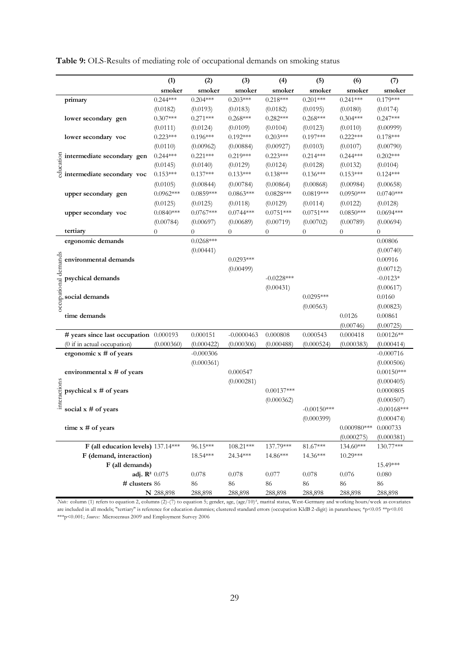**Table 9:** OLS-Results of mediating role of occupational demands on smoking status

|                     |                                                                                                                                                                              | (1)            | (2)                           | (3)              | (4)              | (5)           | (6)                       | (7)                     |
|---------------------|------------------------------------------------------------------------------------------------------------------------------------------------------------------------------|----------------|-------------------------------|------------------|------------------|---------------|---------------------------|-------------------------|
|                     |                                                                                                                                                                              | smoker         | smoker                        | smoker           | smoker           | smoker        | smoker                    | smoker                  |
|                     | primary                                                                                                                                                                      | $0.244***$     | $0.204***$                    | $0.203***$       | $0.218***$       | $0.201***$    | $0.241***$                | $0.179***$              |
|                     |                                                                                                                                                                              | (0.0182)       | (0.0193)                      | (0.0183)         | (0.0182)         | (0.0195)      | (0.0180)                  | (0.0174)                |
|                     | lower secondary gen                                                                                                                                                          | $0.307***$     | $0.271***$                    | $0.268***$       | $0.282***$       | $0.268***$    | $0.304***$                | $0.247***$              |
|                     |                                                                                                                                                                              | (0.0111)       | (0.0124)                      | (0.0109)         | (0.0104)         | (0.0123)      | (0.0110)                  | (0.00999)               |
|                     | lower secondary voc                                                                                                                                                          | $0.223***$     | $0.196***$                    | $0.192***$       | $0.203***$       | $0.197***$    | $0.222***$                | $0.178***$              |
|                     |                                                                                                                                                                              | (0.0110)       | (0.00962)                     | (0.00884)        | (0.00927)        | (0.0103)      | (0.0107)                  | (0.00790)               |
|                     |                                                                                                                                                                              | $0.244***$     | $0.221***$                    | $0.219***$       | $0.223***$       | $0.214***$    | $0.244***$                | $0.202***$              |
|                     | Sintermediate secondary gen<br>given<br>differentiate secondary voc                                                                                                          | (0.0145)       | (0.0140)                      | (0.0129)         | (0.0124)         | (0.0128)      | (0.0132)                  | (0.0104)                |
|                     |                                                                                                                                                                              | $0.153***$     | $0.137***$                    | $0.133***$       | $0.138***$       | $0.136***$    | $0.153***$                | $0.124***$              |
|                     |                                                                                                                                                                              | (0.0105)       | (0.00844)                     | (0.00784)        | (0.00864)        | (0.00868)     | (0.00984)                 | (0.00658)               |
|                     | upper secondary gen                                                                                                                                                          | $0.0962***$    | $0.0859***$                   | $0.0863***$      | $0.0828***$      | $0.0819***$   | $0.0950***$               | $0.0740***$             |
|                     |                                                                                                                                                                              | (0.0125)       | (0.0125)                      | (0.0118)         | (0.0129)         | (0.0114)      | (0.0122)                  | (0.0128)                |
|                     | upper secondary voc                                                                                                                                                          | $0.0840***$    | $0.0767***$                   | $0.0744***$      | $0.0751***$      | $0.0751***$   | $0.0850***$               | $0.0694***$             |
|                     |                                                                                                                                                                              | (0.00784)      | (0.00697)                     | (0.00689)        | (0.00719)        | (0.00702)     | (0.00789)                 | (0.00694)               |
|                     | tertiary                                                                                                                                                                     | $\overline{0}$ | $\overline{0}$<br>$0.0268***$ | $\boldsymbol{0}$ | $\boldsymbol{0}$ | 0             | $\boldsymbol{0}$          | $\theta$<br>0.00806     |
|                     | ergonomic demands                                                                                                                                                            |                |                               |                  |                  |               |                           |                         |
| occupational demand | environmental demands                                                                                                                                                        |                | (0.00441)                     | $0.0293***$      |                  |               |                           | (0.00740)<br>0.00916    |
|                     |                                                                                                                                                                              |                |                               | (0.00499)        |                  |               |                           | (0.00712)               |
|                     | psychical demands                                                                                                                                                            |                |                               |                  | $-0.0228***$     |               |                           | $-0.0123*$              |
|                     |                                                                                                                                                                              |                |                               |                  | (0.00431)        |               |                           | (0.00617)               |
|                     | social demands                                                                                                                                                               |                |                               |                  |                  | $0.0295***$   |                           | 0.0160                  |
|                     |                                                                                                                                                                              |                |                               |                  |                  | (0.00563)     |                           | (0.00823)               |
|                     | time demands                                                                                                                                                                 |                |                               |                  |                  |               | 0.0126                    | 0.00861                 |
|                     |                                                                                                                                                                              |                |                               |                  |                  |               | (0.00746)                 | (0.00725)               |
|                     | # years since last occupation 0.000193                                                                                                                                       |                | 0.000151                      | $-0.0000463$     | 0.000808         | 0.000543      | 0.000418                  | $0.00126**$             |
|                     | (0 if in actual occupation)                                                                                                                                                  | (0.000360)     | (0.000422)                    | (0.000306)       | (0.000488)       | (0.000524)    | (0.000383)                | (0.000414)              |
|                     | ergonomic x # of years                                                                                                                                                       |                | $-0.000306$                   |                  |                  |               |                           | $-0.000716$             |
|                     |                                                                                                                                                                              |                | (0.000361)                    |                  |                  |               |                           | (0.000506)              |
|                     | environmental x # of years                                                                                                                                                   |                |                               | 0.000547         |                  |               |                           | $0.00150***$            |
|                     |                                                                                                                                                                              |                |                               | (0.000281)       |                  |               |                           | (0.000405)              |
| interactions        | psychical $x \#$ of years                                                                                                                                                    |                |                               |                  | $0.00137***$     |               |                           | 0.0000805               |
|                     |                                                                                                                                                                              |                |                               |                  | (0.000362)       |               |                           | (0.000507)              |
|                     | social $x \#$ of years                                                                                                                                                       |                |                               |                  |                  | $-0.00150***$ |                           | $-0.00168$ ***          |
|                     |                                                                                                                                                                              |                |                               |                  |                  | (0.000399)    |                           | (0.000474)              |
|                     | time $x \#$ of years                                                                                                                                                         |                |                               |                  |                  |               | $0.000980***$ 0.000733    |                         |
|                     | F (all education levels) 137.14***                                                                                                                                           |                | 96.15***                      | 108.21***        | 137.79***        | 81.67***      | (0.000275)<br>$134.60***$ | (0.000381)<br>130.77*** |
|                     | F (demand, interaction)                                                                                                                                                      |                | 18.54***                      | 24.34***         | 14.86***         | 14.36***      | 10.29***                  |                         |
|                     | F (all demands)                                                                                                                                                              |                |                               |                  |                  |               |                           | 15.49***                |
|                     | adj. $\mathbb{R}^2$ 0.075                                                                                                                                                    |                | 0.078                         | 0.078            | 0.077            | 0.078         | 0.076                     | 0.080                   |
|                     | # clusters 86                                                                                                                                                                |                | 86                            | 86               | 86               | 86            | 86                        | 86                      |
|                     |                                                                                                                                                                              | N 288,898      | 288,898                       | 288,898          | 288,898          | 288,898       | 288,898                   | 288,898                 |
|                     | Note: column (1) refers to equation 2, columns (2)-(7) to equation 5; gender, age, (age/10) <sup>2</sup> , marital status, West-Germany and working hours/week as covariates |                |                               |                  |                  |               |                           |                         |
|                     | are included in all models; "tertiary" is reference for education dummies; clustered standard errors (occupation KldB 2-digit) in parantheses; *p<0.05 **p<0.01              |                |                               |                  |                  |               |                           |                         |
|                     | *** p<0.001; Source: Microcensus 2009 and Employment Survey 2006                                                                                                             |                |                               |                  |                  |               |                           |                         |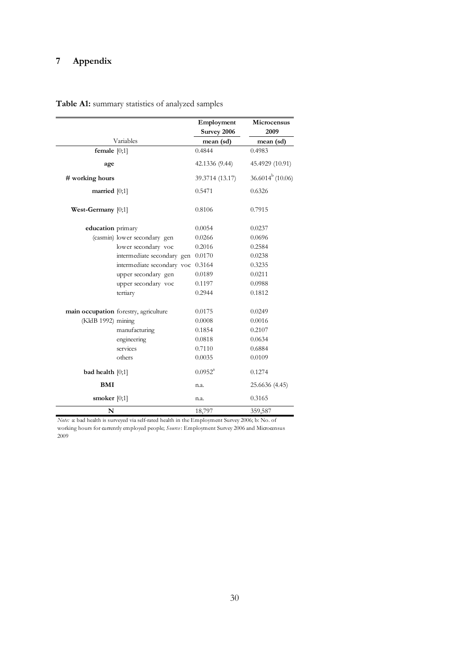# **7 Appendix**

|                      |                                       | Employment<br>Survey 2006 | <b>Microcensus</b><br>2009 |
|----------------------|---------------------------------------|---------------------------|----------------------------|
|                      | Variables                             | mean (sd)                 | mean (sd)                  |
| female $[0;1]$       |                                       | 0.4844                    | 0.4983                     |
| age                  |                                       | 42.1336 (9.44)            | 45.4929 (10.91)            |
| # working hours      |                                       | 39.3714 (13.17)           | $36.6014^b(10.06)$         |
| married $[0;1]$      |                                       | 0.5471                    | 0.6326                     |
| West-Germany $[0;1]$ |                                       | 0.8106                    | 0.7915                     |
| education primary    |                                       | 0.0054                    | 0.0237                     |
|                      | (casmin) lower secondary gen          | 0.0266                    | 0.0696                     |
|                      | lower secondary voc                   | 0.2016                    | 0.2584                     |
|                      | intermediate secondary gen            | 0.0170                    | 0.0238                     |
|                      | intermediate secondary voc            | 0.3164                    | 0.3235                     |
|                      | upper secondary gen                   | 0.0189                    | 0.0211                     |
|                      | upper secondary voc                   | 0.1197                    | 0.0988                     |
|                      | tertiary                              | 0.2944                    | 0.1812                     |
|                      | main occupation forestry, agriculture | 0.0175                    | 0.0249                     |
| (KldB 1992) mining   |                                       | 0.0008                    | 0.0016                     |
|                      | manufacturing                         | 0.1854                    | 0.2107                     |
|                      | engineering                           | 0.0818                    | 0.0634                     |
|                      | services                              | 0.7110                    | 0.6884                     |
|                      | others                                | 0.0035                    | 0.0109                     |
| bad health $[0;1]$   |                                       | $0.0952^a$                | 0.1274                     |
| BMI                  |                                       | n.a.                      | 25.6636 (4.45)             |
| smoker $[0;1]$       |                                       | n.a.                      | 0.3165                     |
| N                    |                                       | 18,797                    | 359,587                    |

**Table A1:** summary statistics of analyzed samples

*Note:* a: bad health is surveyed via self-rated health in the Employment Survey 2006; b: No. of working hours for currently employed people; *Source* : Employment Survey 2006 and Microcensus 2009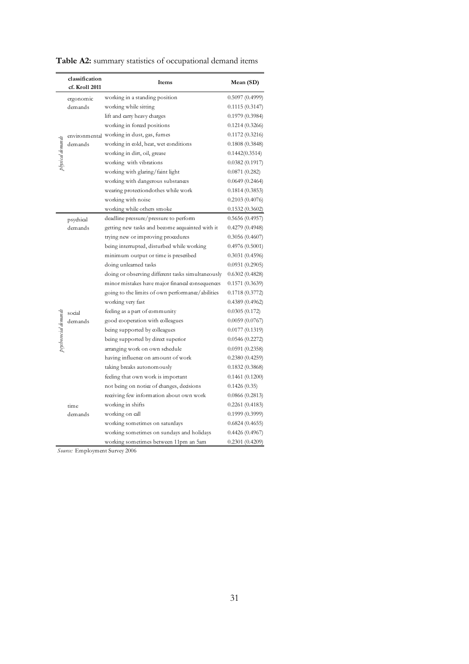|                      | classification<br>cf. Kroll 2011 | Items                                             | Mean (SD)      |
|----------------------|----------------------------------|---------------------------------------------------|----------------|
|                      | ergonomic                        | working in a standing position                    | 0.5097(0.4999) |
|                      | demands                          | working while sitting                             | 0.1115(0.3147) |
|                      |                                  | lift and carry heavy charges                      | 0.1979(0.3984) |
|                      |                                  | working in forced positions                       | 0.1214(0.3266) |
|                      |                                  | environmental working in dust, gas, fumes         | 0.1172(0.3216) |
|                      | demands                          | working in cold, heat, wet conditions             | 0.1808(0.3848) |
|                      |                                  | working in dirt, oil, grease                      | 0.1442(0.3514) |
| physical demands     |                                  | working with vibrations                           | 0.0382(0.1917) |
|                      |                                  | working with glaring/faint light                  | 0.0871(0.282)  |
|                      |                                  | working with dangerous substances                 | 0.0649(0.2464) |
|                      |                                  | wearing protectiondothes while work               | 0.1814(0.3853) |
|                      |                                  | working with noise                                | 0.2103(0.4076) |
|                      |                                  | working while others smoke                        | 0.1532(0.3602) |
|                      | psychical                        | deadline pressure/pressure to perform             | 0.5656(0.4957) |
|                      | demands                          | getting new tasks and become acquainted with it   | 0.4279(0.4948) |
|                      |                                  | trying new or improving procedures                | 0.3056(0.4607) |
|                      |                                  | being interrupted, disturbed while working        | 0.4976(0.5001) |
|                      |                                  | minimum output or time is prescribed              | 0.3031(0.4596) |
|                      |                                  | doing unlearned tasks                             | 0.0931(0.2905) |
|                      |                                  | doing or observing different tasks simultaneously | 0.6302(0.4828) |
|                      |                                  | minor mistakes have major financal consequences   | 0.1571(0.3639) |
|                      |                                  | going to the limits of own performance/abilities  | 0.1718(0.3772) |
|                      |                                  | working very fast                                 | 0.4389(0.4962) |
|                      | social                           | feeling as a part of community                    | 0.0305(0.172)  |
| psychosocial demands | demands                          | good cooperation with colleagues                  | 0.0059(0.0767) |
|                      |                                  | being supported by colleagues                     | 0.0177(0.1319) |
|                      |                                  | being supported by direct superior                | 0.0546(0.2272) |
|                      |                                  | arranging work on own schedule                    | 0.0591(0.2358) |
|                      |                                  | having influence on amount of work                | 0.2380(0.4259) |
|                      |                                  | taking breaks autonomously                        | 0.1832(0.3868) |
|                      |                                  | feeling that own work is important                | 0.1461(0.1200) |
|                      |                                  | not being on notice of changes, decisions         | 0.1426(0.35)   |
|                      |                                  | receiving few information about own work          | 0.0866(0.2813) |
|                      | time                             | working in shifts                                 | 0.2261(0.4183) |
|                      | demands                          | working on call                                   | 0.1999(0.3999) |
|                      |                                  | working sometimes on saturdays                    | 0.6824(0.4655) |
|                      |                                  | working sometimes on sundays and holidays         | 0.4426(0.4967) |
|                      |                                  | working sometimes between 11pm an 5am             | 0.2301(0.4209) |
|                      | Source: Employment Survey 2006   |                                                   |                |

**Table A2:** summary statistics of occupational demand items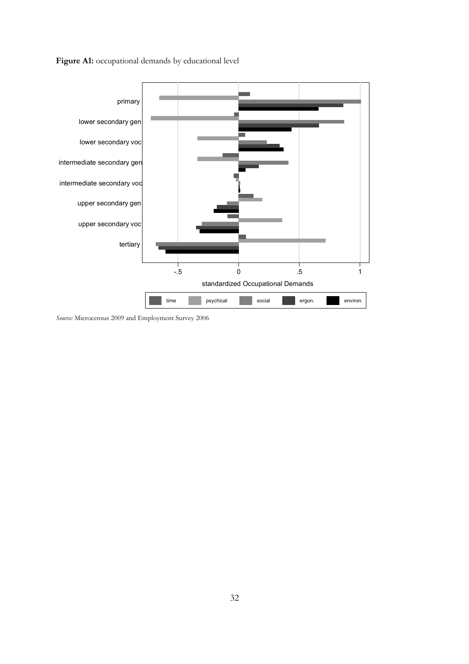Figure A1: occupational demands by educational level



*Source:* Microcensus 2009 and Employment Survey 2006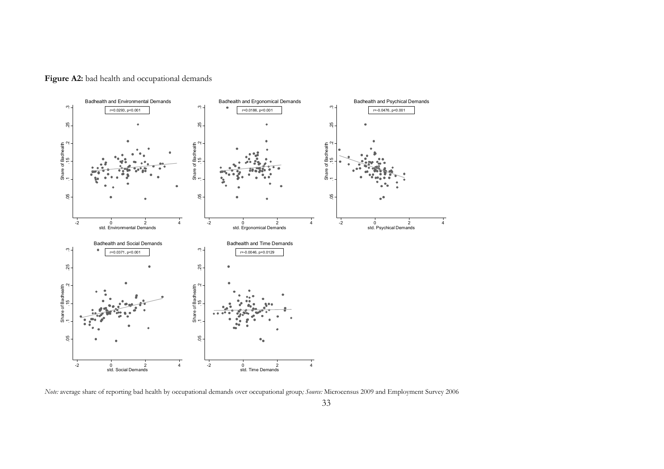

Figure A2: bad health and occupational demands

*Note:* average share of reporting bad health by occupational demands over occupational group*; Source:* Microcensus 2009 and Employment Survey 2006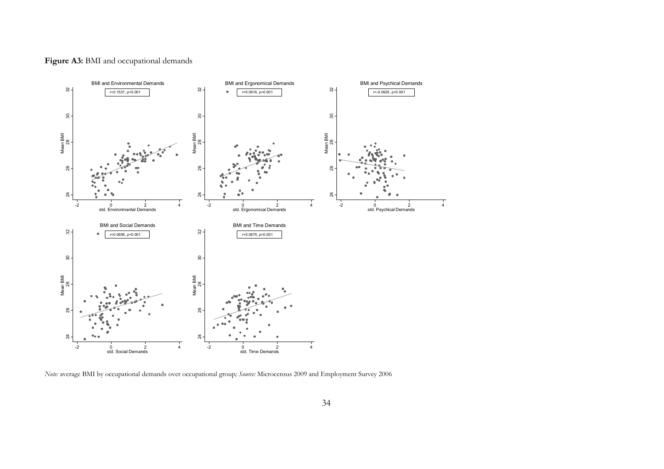

Figure A3: BMI and occupational demands

*Note:* average BMI by occupational demands over occupational group*; Source:* Microcensus 2009 and Employment Survey 2006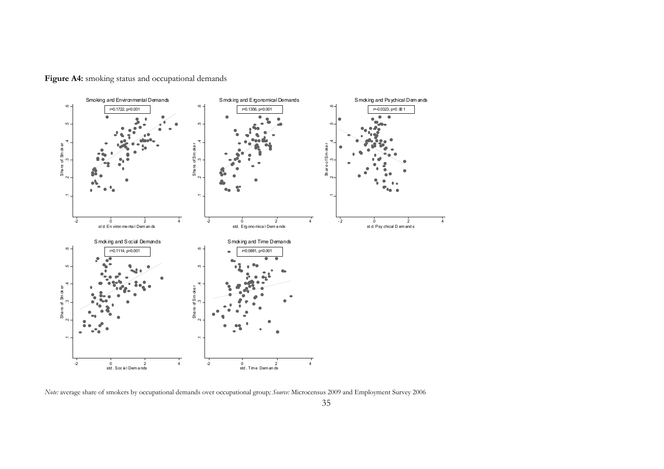

Figure A4: smoking status and occupational demands

*Note:* average share of smokers by occupational demands over occupational group*; Source:* Microcensus 2009 and Employment Survey 2006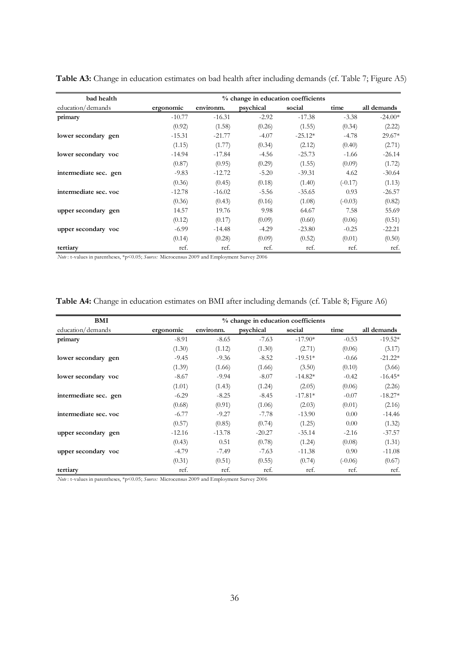| bad health            | % change in education coefficients |           |           |           |           |             |
|-----------------------|------------------------------------|-----------|-----------|-----------|-----------|-------------|
| education/demands     | ergonomic                          | environm. | psychical | social    | time      | all demands |
| primary               | $-10.77$                           | $-16.31$  | $-2.92$   | $-17.38$  | $-3.38$   | $-24.00*$   |
|                       | (0.92)                             | (1.58)    | (0.26)    | (1.55)    | (0.34)    | (2.22)      |
| lower secondary gen   | $-15.31$                           | $-21.77$  | $-4.07$   | $-25.12*$ | $-4.78$   | $29.67*$    |
|                       | (1.15)                             | (1.77)    | (0.34)    | (2.12)    | (0.40)    | (2.71)      |
| lower secondary voc   | $-14.94$                           | $-17.84$  | $-4.56$   | $-25.73$  | $-1.66$   | $-26.14$    |
|                       | (0.87)                             | (0.95)    | (0.29)    | (1.55)    | (0.09)    | (1.72)      |
| intermediate sec. gen | $-9.83$                            | $-12.72$  | $-5.20$   | $-39.31$  | 4.62      | $-30.64$    |
|                       | (0.36)                             | (0.45)    | (0.18)    | (1.40)    | $(-0.17)$ | (1.13)      |
| intermediate sec. voc | $-12.78$                           | $-16.02$  | $-5.56$   | $-35.65$  | 0.93      | $-26.57$    |
|                       | (0.36)                             | (0.43)    | (0.16)    | (1.08)    | $(-0.03)$ | (0.82)      |
| upper secondary gen   | 14.57                              | 19.76     | 9.98      | 64.67     | 7.58      | 55.69       |
|                       | (0.12)                             | (0.17)    | (0.09)    | (0.60)    | (0.06)    | (0.51)      |
| upper secondary voc   | $-6.99$                            | $-14.48$  | $-4.29$   | $-23.80$  | $-0.25$   | $-22.21$    |
|                       | (0.14)                             | (0.28)    | (0.09)    | (0.52)    | (0.01)    | (0.50)      |
| tertiary              | ref.                               | ref.      | ref.      | ref.      | ref.      | ref.        |

Table A3: Change in education estimates on bad health after including demands (cf. Table 7; Figure A5)

*Note* : t-values in parentheses, \*p<0.05; *Source:* Microcensus 2009 and Employment Survey 2006

| Table A4: Change in education estimates on BMI after including demands (cf. Table 8; Figure A6) |  |  |  |  |  |  |
|-------------------------------------------------------------------------------------------------|--|--|--|--|--|--|
|                                                                                                 |  |  |  |  |  |  |

| BMI                   | % change in education coefficients |           |           |           |           |             |
|-----------------------|------------------------------------|-----------|-----------|-----------|-----------|-------------|
| education/demands     | ergonomic                          | environm. | psychical | social    | time      | all demands |
| primary               | $-8.91$                            | $-8.65$   | $-7.63$   | $-17.90*$ | $-0.53$   | $-19.52*$   |
|                       | (1.30)                             | (1.12)    | (1.30)    | (2.71)    | (0.06)    | (3.17)      |
| lower secondary gen   | $-9.45$                            | $-9.36$   | $-8.52$   | $-19.51*$ | $-0.66$   | $-21.22*$   |
|                       | (1.39)                             | (1.66)    | (1.66)    | (3.50)    | (0.10)    | (3.66)      |
| lower secondary voc   | $-8.67$                            | $-9.94$   | $-8.07$   | $-14.82*$ | $-0.42$   | $-16.45*$   |
|                       | (1.01)                             | (1.43)    | (1.24)    | (2.05)    | (0.06)    | (2.26)      |
| intermediate sec. gen | $-6.29$                            | $-8.25$   | $-8.45$   | $-17.81*$ | $-0.07$   | $-18.27*$   |
|                       | (0.68)                             | (0.91)    | (1.06)    | (2.03)    | (0.01)    | (2.16)      |
| intermediate sec. voc | $-6.77$                            | $-9.27$   | $-7.78$   | $-13.90$  | 0.00      | $-14.46$    |
|                       | (0.57)                             | (0.85)    | (0.74)    | (1.25)    | 0.00      | (1.32)      |
| upper secondary gen   | $-12.16$                           | $-13.78$  | $-20.27$  | $-35.14$  | $-2.16$   | $-37.57$    |
|                       | (0.43)                             | 0.51      | (0.78)    | (1.24)    | (0.08)    | (1.31)      |
| upper secondary voc   | $-4.79$                            | $-7.49$   | $-7.63$   | $-11.38$  | 0.90      | $-11.08$    |
|                       | (0.31)                             | (0.51)    | (0.55)    | (0.74)    | $(-0.06)$ | (0.67)      |
| tertiary              | ref.                               | ref.      | ref.      | ref.      | ref.      | ref.        |

*Note* : t-values in parentheses, \*p<0.05; *Source:* Microcensus 2009 and Employment Survey 2006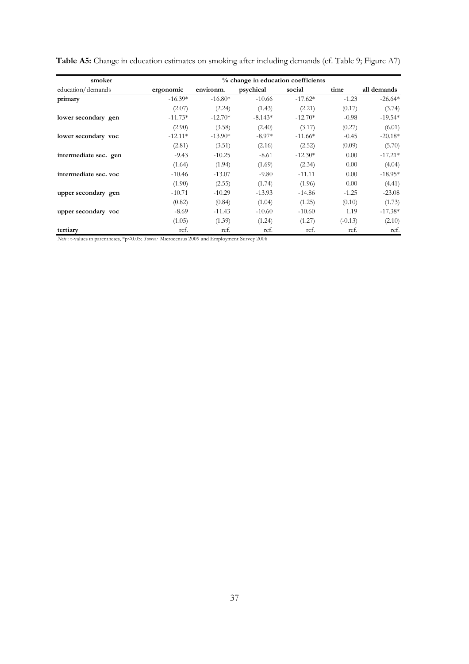| smoker                | % change in education coefficients |           |           |           |           |             |  |
|-----------------------|------------------------------------|-----------|-----------|-----------|-----------|-------------|--|
| education/demands     | ergonomic                          | environm. | psychical | social    | time      | all demands |  |
| primary               | $-16.39*$                          | $-16.80*$ | $-10.66$  | $-17.62*$ | $-1.23$   | $-26.64*$   |  |
|                       | (2.07)                             | (2.24)    | (1.43)    | (2.21)    | (0.17)    | (3.74)      |  |
| lower secondary gen   | $-11.73*$                          | $-12.70*$ | $-8.143*$ | $-12.70*$ | $-0.98$   | $-19.54*$   |  |
|                       | (2.90)                             | (3.58)    | (2.40)    | (3.17)    | (0.27)    | (6.01)      |  |
| lower secondary voc   | $-12.11*$                          | $-13.90*$ | $-8.97*$  | $-11.66*$ | $-0.45$   | $-20.18*$   |  |
|                       | (2.81)                             | (3.51)    | (2.16)    | (2.52)    | (0.09)    | (5.70)      |  |
| intermediate sec. gen | $-9.43$                            | $-10.25$  | $-8.61$   | $-12.30*$ | 0.00      | $-17.21*$   |  |
|                       | (1.64)                             | (1.94)    | (1.69)    | (2.34)    | 0.00      | (4.04)      |  |
| intermediate sec. voc | $-10.46$                           | $-13.07$  | $-9.80$   | $-11.11$  | 0.00      | $-18.95*$   |  |
|                       | (1.90)                             | (2.55)    | (1.74)    | (1.96)    | 0.00      | (4.41)      |  |
| upper secondary gen   | $-10.71$                           | $-10.29$  | $-13.93$  | $-14.86$  | $-1.25$   | $-23.08$    |  |
|                       | (0.82)                             | (0.84)    | (1.04)    | (1.25)    | (0.10)    | (1.73)      |  |
| upper secondary voc   | $-8.69$                            | $-11.43$  | $-10.60$  | $-10.60$  | 1.19      | $-17.38*$   |  |
|                       | (1.05)                             | (1.39)    | (1.24)    | (1.27)    | $(-0.13)$ | (2.10)      |  |
| tertiary              | ref.                               | ref.      | ref.      | ref.      | ref.      | ref.        |  |

**Table A5:** Change in education estimates on smoking after including demands (cf. Table 9; Figure A7)

*Note* : t-values in parentheses, \*p<0.05; *Source:* Microcensus 2009 and Employment Survey 2006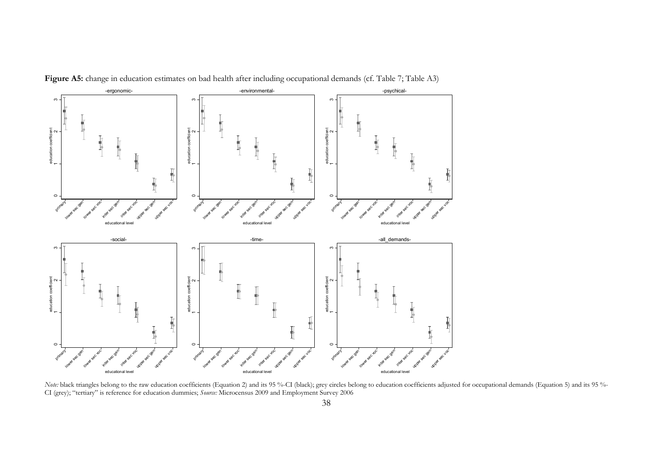

Figure A5: change in education estimates on bad health after including occupational demands (cf. Table 7; Table A3)

*Note:* black triangles belong to the raw education coefficients (Equation 2) and its 95 %-CI (black); grey circles belong to education coefficients adjusted for occupational demands (Equation 5) and its 95 %-CI (grey); "tertiary" is reference for education dummies; *Source:* Microcensus 2009 and Employment Survey 2006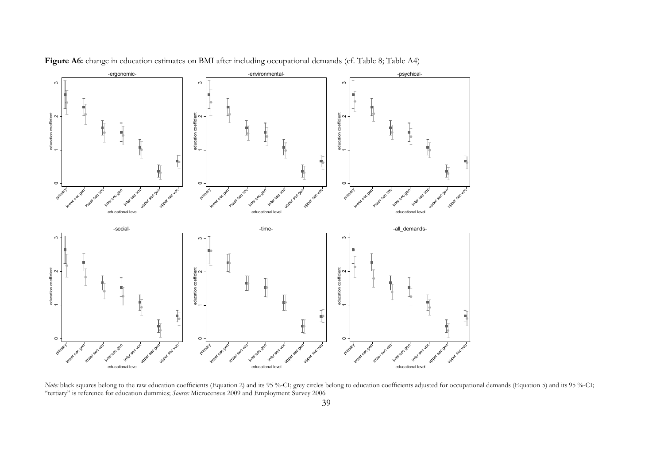

Figure A6: change in education estimates on BMI after including occupational demands (cf. Table 8; Table A4)

*Note:* black squares belong to the raw education coefficients (Equation 2) and its 95 %-CI; grey circles belong to education coefficients adjusted for occupational demands (Equation 5) and its 95 %-CI; "tertiary" is reference for education dummies; *Source:* Microcensus 2009 and Employment Survey 2006